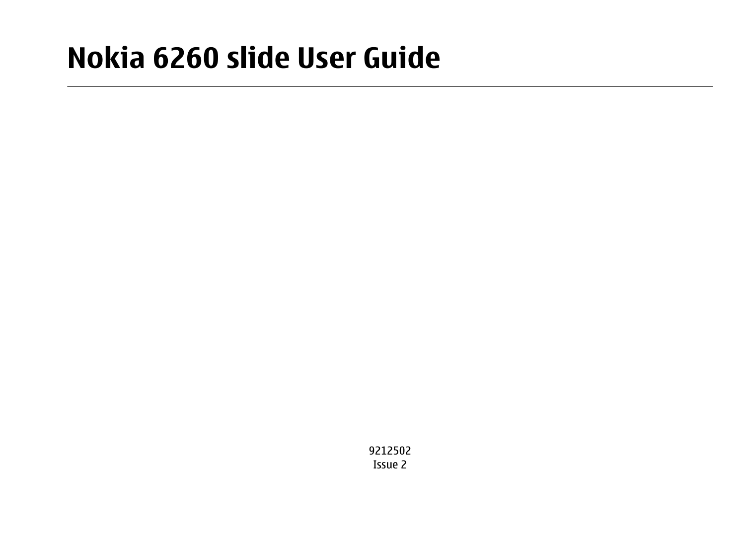# **Nokia 6260 slide User Guide**

9212502Issue 2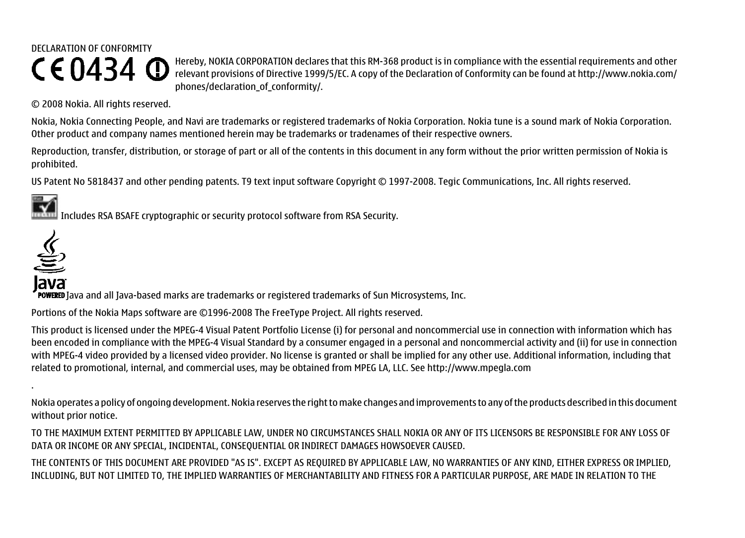### DECLARATION OF CONFORMITYCE0434 <sup>O</sup>

Hereby, NOKIA CORPORATION declares that this RM-368 product is in compliance with the essential requirements and other relevant provisions of Directive 1999/5/EC. A copy of the Declaration of Conformity can be found at [http://www.nokia.com/](http://www.nokia.com/phones/declaration_of_conformity/) [phones/declaration\\_of\\_conformity/.](http://www.nokia.com/phones/declaration_of_conformity/)

© 2008 Nokia. All rights reserved.

Nokia, Nokia Connecting People, and Navi are trademarks or registered trademarks of Nokia Corporation. Nokia tune is a sound mark of Nokia Corporation. Other product and company names mentioned herein may be trademarks or tradenames of their respective owners.

Reproduction, transfer, distribution, or storage of part or all of the contents in this document in any form without the prior written permission of Nokia is prohibited.

US Patent No 5818437 and other pending patents. T9 text input software Copyright © 1997-2008. Tegic Communications, Inc. All rights reserved.



Includes RSA BSAFE cryptographic or security protocol software from RSA Security.



lava

POWERED Java and all Java-based marks are trademarks or registered trademarks of Sun Microsystems, Inc.

Portions of the Nokia Maps software are ©1996-2008 The FreeType Project. All rights reserved.

This product is licensed under the MPEG-4 Visual Patent Portfolio License (i) for personal and noncommercial use in connection with information which has been encoded in compliance with the MPEG-4 Visual Standard by a consumer engaged in a personal and noncommercial activity and (ii) for use in connection with MPEG-4 video provided by a licensed video provider. No license is granted or shall be implied for any other use. Additional information, including that related to promotional, internal, and commercial uses, may be obtained from MPEG LA, LLC. See http://www.mpegla.com

Nokia operates a policy of ongoing development. Nokia reserves the right to make changes and improvements to any of the products described in this document without prior notice.

TO THE MAXIMUM EXTENT PERMITTED BY APPLICABLE LAW, UNDER NO CIRCUMSTANCES SHALL NOKIA OR ANY OF ITS LICENSORS BE RESPONSIBLE FOR ANY LOSS OF DATA OR INCOME OR ANY SPECIAL, INCIDENTAL, CONSEQUENTIAL OR INDIRECT DAMAGES HOWSOEVER CAUSED.

THE CONTENTS OF THIS DOCUMENT ARE PROVIDED "AS IS". EXCEPT AS REQUIRED BY APPLICABLE LAW, NO WARRANTIES OF ANY KIND, EITHER EXPRESS OR IMPLIED, INCLUDING, BUT NOT LIMITED TO, THE IMPLIED WARRANTIES OF MERCHANTABILITY AND FITNESS FOR A PARTICULAR PURPOSE, ARE MADE IN RELATION TO THE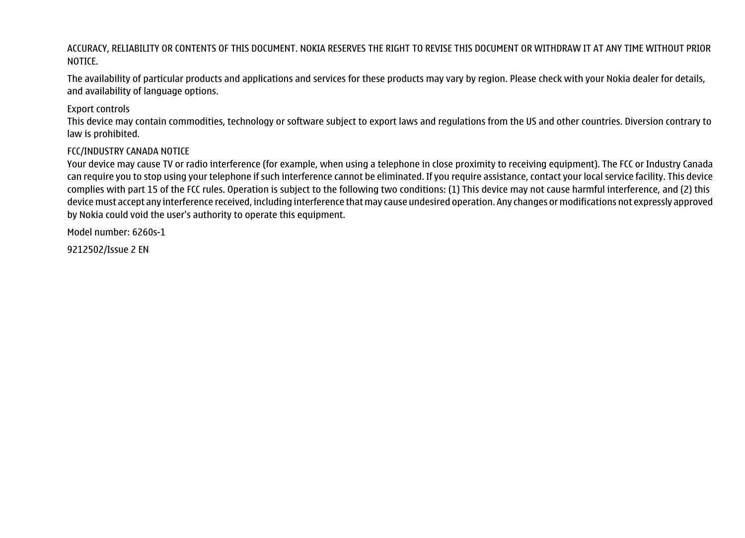#### ACCURACY, RELIABILITY OR CONTENTS OF THIS DOCUMENT. NOKIA RESERVES THE RIGHT TO REVISE THIS DOCUMENT OR WITHDRAW IT AT ANY TIME WITHOUT PRIOR NOTICE.

The availability of particular products and applications and services for these products may vary by region. Please check with your Nokia dealer for details, and availability of language options.

#### Export controls

This device may contain commodities, technology or software subject to export laws and regulations from the US and other countries. Diversion contrary to law is prohibited.

#### FCC/INDUSTRY CANADA NOTICE

Your device may cause TV or radio interference (for example, when using a telephone in close proximity to receiving equipment). The FCC or Industry Canada can require you to stop using your telephone if such interference cannot be eliminated. If you require assistance, contact your local service facility. This device complies with part 15 of the FCC rules. Operation is subject to the following two conditions: (1) This device may not cause harmful interference, and (2) this device must accept any interference received, including interference that may cause undesired operation. Any changes or modifications not expressly approved by Nokia could void the user's authority to operate this equipment.

Model number: 6260s-1

9212502/Issue 2 EN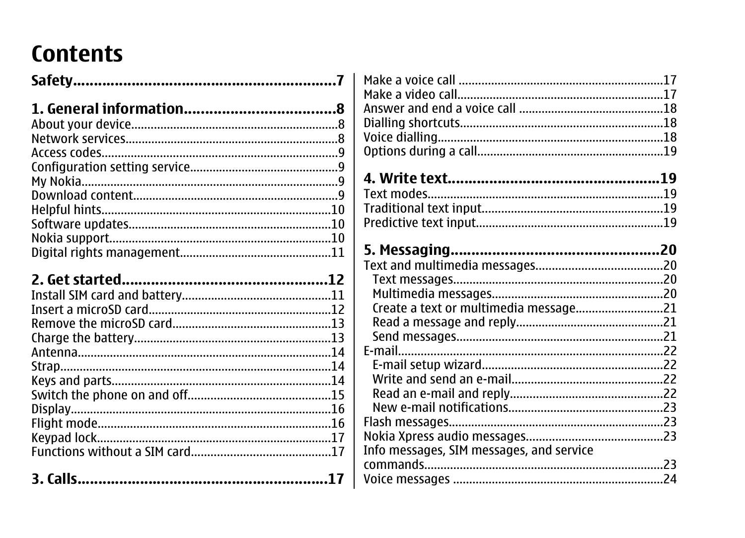## **Contents**

| Info messages, SIM messages, and service |  |
|------------------------------------------|--|
|                                          |  |
|                                          |  |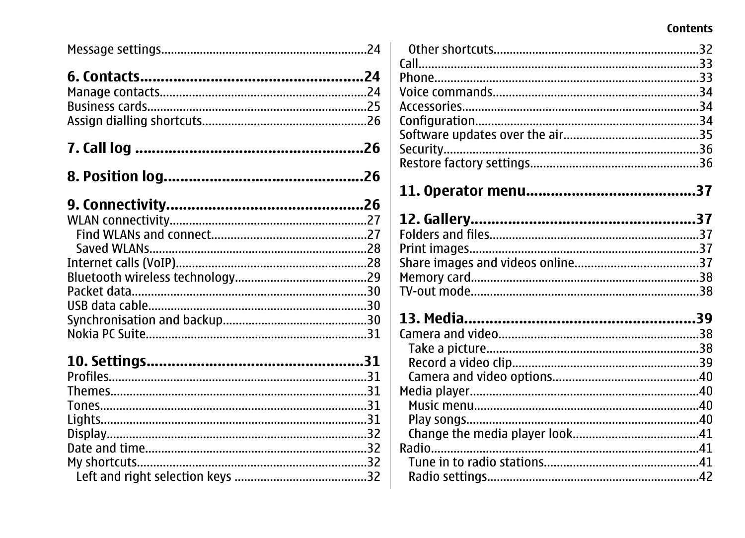#### Contents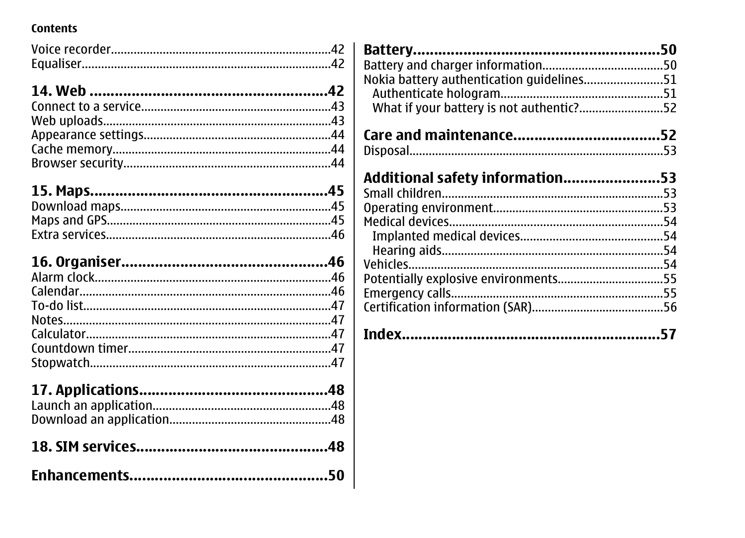#### Contents

| Nokia battery authentication guidelines51<br>What if your battery is not authentic?52 |  |
|---------------------------------------------------------------------------------------|--|
|                                                                                       |  |
|                                                                                       |  |
| Additional safety information53                                                       |  |
|                                                                                       |  |
|                                                                                       |  |
|                                                                                       |  |
|                                                                                       |  |
|                                                                                       |  |
|                                                                                       |  |
| Potentially explosive environments55                                                  |  |
|                                                                                       |  |
|                                                                                       |  |
|                                                                                       |  |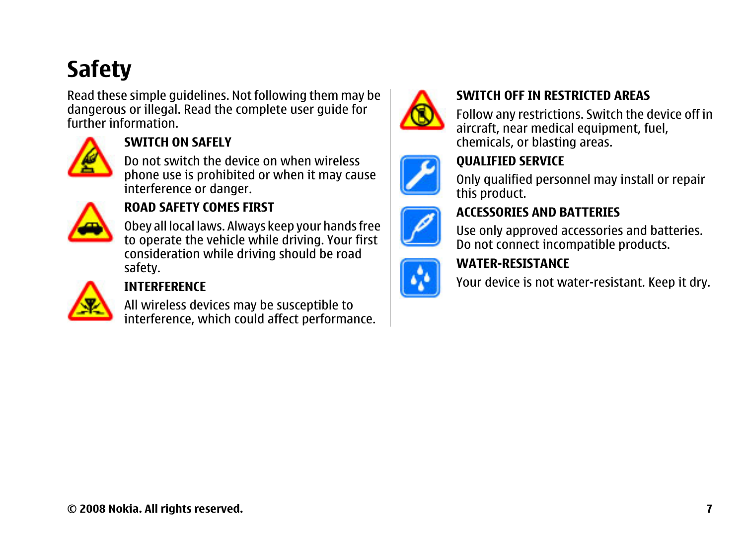## <span id="page-6-0"></span>**Safety**

Read these simple guidelines. Not following them may be dangerous or illegal. Read the complete user guide for further information.



#### **SWITCH ON SAFELY**

Do not switch the device on when wireless phone use is prohibited or when it may cause interference or danger.



#### **ROAD SAFETY COMES FIRST**

Obey all local laws. Always keep your hands free to operate the vehicle while driving. Your first consideration while driving should be road safety.



#### **INTERFERENCE**

All wireless devices may be susceptible to interference, which could affect performance.



#### **SWITCH OFF IN RESTRICTED AREAS**

Follow any restrictions. Switch the device off in aircraft, near medical equipment, fuel, chemicals, or blasting areas.

#### **QUALIFIED SERVICE**

Only qualified personnel may install or repair this product.

#### **ACCESSORIES AND BATTERIES**

Use only approved accessories and batteries. Do not connect incompatible products.

#### **WATER-RESISTANCE**

Your device is not water-resistant. Keep it dry.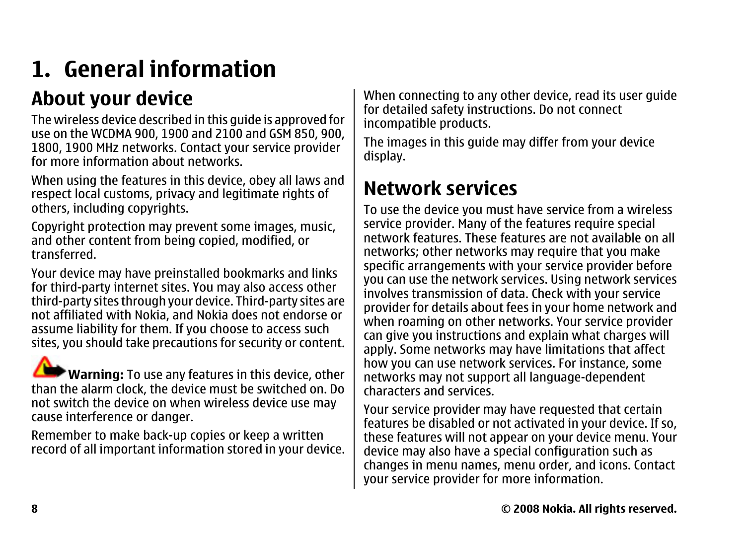## <span id="page-7-0"></span>**1. General information**

### **About your device**

The wireless device described in this guide is approved for use on the WCDMA 900, 1900 and 2100 and GSM 850, 900, 1800, 1900 MHz networks. Contact your service provider for more information about networks.

When using the features in this device, obey all laws and respect local customs, privacy and legitimate rights of others, including copyrights.

Copyright protection may prevent some images, music, and other content from being copied, modified, or transferred.

Your device may have preinstalled bookmarks and links for third-party internet sites. You may also access other third-party sites through your device. Third-party sites are not affiliated with Nokia, and Nokia does not endorse or assume liability for them. If you choose to access such sites, you should take precautions for security or content.

**Warning:** To use any features in this device, other than the alarm clock, the device must be switched on. Do not switch the device on when wireless device use may cause interference or danger.

Remember to make back-up copies or keep a written record of all important information stored in your device.

When connecting to any other device, read its user quide for detailed safety instructions. Do not connect incompatible products.

The images in this guide may differ from your device display.

### **Network services**

To use the device you must have service from a wireless service provider. Many of the features require special network features. These features are not available on allnetworks; other networks may require that you make specific arrangements with your service provider before you can use the network services. Using network services involves transmission of data. Check with your service provider for details about fees in your home network and when roaming on other networks. Your service provider can give you instructions and explain what charges will apply. Some networks may have limitations that affect how you can use network services. For instance, some networks may not support all language-dependent characters and services.

Your service provider may have requested that certain features be disabled or not activated in your device. If so, these features will not appear on your device menu. Your device may also have a special configuration such as changes in menu names, menu order, and icons. Contact your service provider for more information.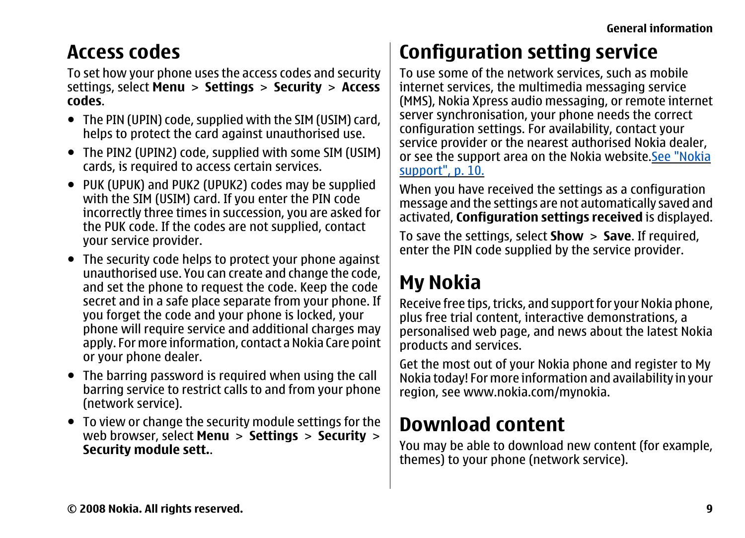### <span id="page-8-0"></span>**Access codes**

To set how your phone uses the access codes and security settings, select **Menu** <sup>&</sup>gt;**Settings** <sup>&</sup>gt;**Security** <sup>&</sup>gt;**Access codes**.

- The PIN (UPIN) code, supplied with the SIM (USIM) card, helps to protect the card against unauthorised use.
- The PIN2 (UPIN2) code, supplied with some SIM (USIM) cards, is required to access certain services.
- PUK (UPUK) and PUK2 (UPUK2) codes may be supplied with the SIM (USIM) card. If you enter the PIN code incorrectly three times in succession, you are asked for the PUK code. If the codes are not supplied, contact your service provider.
- The security code helps to protect your phone against unauthorised use. You can create and change the code, and set the phone to request the code. Keep the code secret and in a safe place separate from your phone. If you forget the code and your phone is locked, your phone will require service and additional charges may apply. For more information, contact a Nokia Care point or your phone dealer.
- The barring password is required when using the call barring service to restrict calls to and from your phone (network service).
- To view or change the security module settings for the web browser, select **Menu** <sup>&</sup>gt;**Settings** <sup>&</sup>gt;**Security** <sup>&</sup>gt; **Security module sett.**.

## **Configuration setting service**

To use some of the network services, such as mobile internet services, the multimedia messaging service (MMS), Nokia Xpress audio messaging, or remote internet server synchronisation, your phone needs the correct configuration settings. For availability, contact your service provider or the nearest authorised Nokia dealer, or see the support area on the Nokia website.[See "Nokia](#page-9-0) [support", p. 10.](#page-9-0)

When you have received the settings as a configuration message and the settings are not automatically saved and activated, **Configuration settings received** is displayed.

To save the settings, select **Show** <sup>&</sup>gt;**Save**. If required, enter the PIN code supplied by the service provider.

## **My Nokia**

Receive free tips, tricks, and support for your Nokia phone, plus free trial content, interactive demonstrations, a personalised web page, and news about the latest Nokia products and services.

Get the most out of your Nokia phone and register to My Nokia today! For more information and availability in your region, see [www.nokia.com/mynokia](http://www.nokia.com/mynokia).

### **Download content**

You may be able to download new content (for example, themes) to your phone (network service).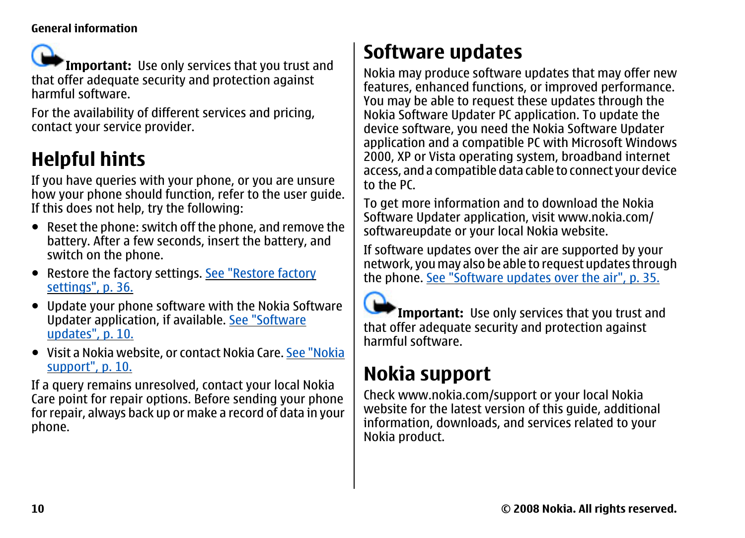<span id="page-9-0"></span>**Important:** Use only services that you trust and that offer adequate security and protection against harmful software.

For the availability of different services and pricing, contact your service provider.

## **Helpful hints**

If you have queries with your phone, or you are unsure how your phone should function, refer to the user guide. If this does not help, try the following:

- Reset the phone: switch off the phone, and remove the battery. After a few seconds, insert the battery, and switch on the phone.
- Restore the factory settings. [See "Restore factory](#page-35-0) [settings", p. 36.](#page-35-0)
- Update your phone software with the Nokia Software Updater application, if available. See "Software updates", p. 10.
- Visit a Nokia website, or contact Nokia Care. <u>See "Nokia</u> support", p. 10.

If a query remains unresolved, contact your local Nokia Care point for repair options. Before sending your phone for repair, always back up or make a record of data in your phone.

## **Software updates**

Nokia may produce software updates that may offer new features, enhanced functions, or improved performance. You may be able to request these updates through the Nokia Software Updater PC application. To update the device software, you need the Nokia Software Updater application and a compatible PC with Microsoft Windows 2000, XP or Vista operating system, broadband internet access, and a compatible data cable to connect your device to the PC.

To get more information and to download the Nokia Software Updater application, visit [www.nokia.com/](http://www.nokia.com/softwareupdate) [softwareupdate](http://www.nokia.com/softwareupdate) or your local Nokia website.

If software updates over the air are supported by your network, you may also be able to request updates through the phone. [See "Software updates over the air", p. 35.](#page-34-0)

**Important:** Use only services that you trust and that offer adequate security and protection against harmful software.

### **Nokia support**

Check [www.nokia.com/support](http://www.nokia.com/support) or your local Nokia website for the latest version of this guide, additional information, downloads, and services related to your Nokia product.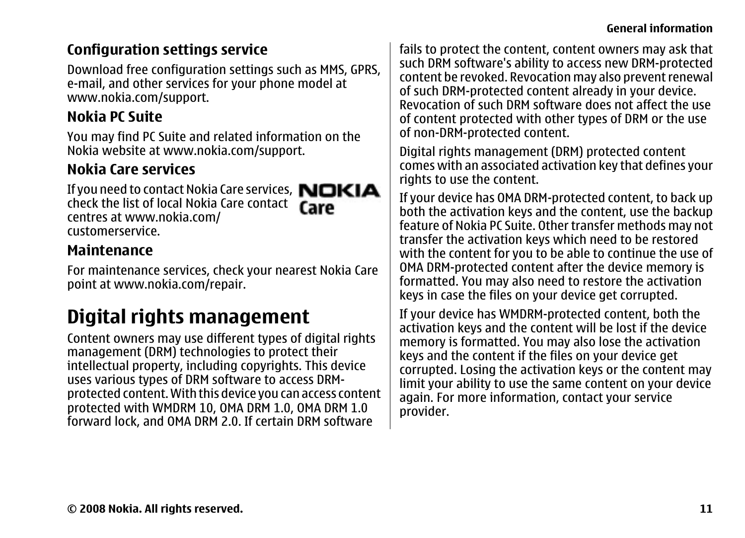#### **General information**

#### <span id="page-10-0"></span>**Configuration settings service**

Download free configuration settings such as MMS, GPRS, e-mail, and other services for your phone model at [www.nokia.com/support](http://www.nokia.com/support).

#### **Nokia PC Suite**

You may find PC Suite and related information on the Nokia website at [www.nokia.com/support](http://www.nokia.com/support).

#### **Nokia Care services**

If you need to contact Nokia Care services, NOKIA check the list of local Nokia Care contact centres at [www.nokia.com/](http://www.nokia.com/customerservice) [customerservice](http://www.nokia.com/customerservice).



For maintenance services, check your nearest Nokia Care point at [www.nokia.com/repair](http://www.nokia.com/repair).

### **Digital rights management**

Content owners may use different types of digital rights management (DRM) technologies to protect their intellectual property, including copyrights. This device uses various types of DRM software to access DRMprotected content. With this device you can access content protected with WMDRM 10, OMA DRM 1.0, OMA DRM 1.0 forward lock, and OMA DRM 2.0. If certain DRM software

fails to protect the content, content owners may ask that such DRM software's ability to access new DRM-protected content be revoked. Revocation may also prevent renewal of such DRM-protected content already in your device. Revocation of such DRM software does not affect the use of content protected with other types of DRM or the use of non-DRM-protected content.

Digital rights management (DRM) protected content comes with an associated activation key that defines your rights to use the content.

If your device has OMA DRM-protected content, to back up both the activation keys and the content, use the backup feature of Nokia PC Suite. Other transfer methods may not transfer the activation keys which need to be restored with the content for you to be able to continue the use of OMA DRM-protected content after the device memory is formatted. You may also need to restore the activation keys in case the files on your device get corrupted.

If your device has WMDRM-protected content, both the activation keys and the content will be lost if the device memory is formatted. You may also lose the activation keys and the content if the files on your device get corrupted. Losing the activation keys or the content may limit your ability to use the same content on your device again. For more information, contact your service provider.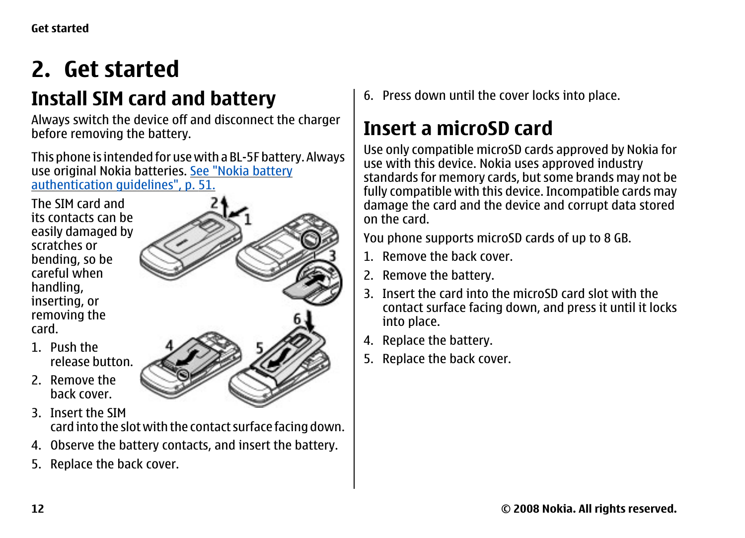## <span id="page-11-0"></span>**2. Get started**

### **Install SIM card and battery**

Always switch the device off and disconnect the charger before removing the battery.

This phone is intended for use with a BL-5F battery. Always use original Nokia batteries. [See "Nokia battery](#page-50-0) [authentication guidelines", p. 51.](#page-50-0)

The SIM card and its contacts can be easily damaged by scratches orbending, so be careful whenhandling, inserting, or removing the card.

- 1. Push therelease button.
- 2. Remove theback cover.
- 3. Insert the SIMcard into the slot with the contact surface facing down.
- 4. Observe the battery contacts, and insert the battery.
- 5. Replace the back cover.

6. Press down until the cover locks into place.

### **Insert a microSD card**

Use only compatible microSD cards approved by Nokia for use with this device. Nokia uses approved industry standards for memory cards, but some brands may not be fully compatible with this device. Incompatible cards may damage the card and the device and corrupt data stored on the card.

You phone supports microSD cards of up to 8 GB.

- 1. Remove the back cover.
- 2. Remove the battery.
- 3. Insert the card into the microSD card slot with thecontact surface facing down, and press it until it locks into place.
- 4. Replace the battery.
- 5. Replace the back cover.

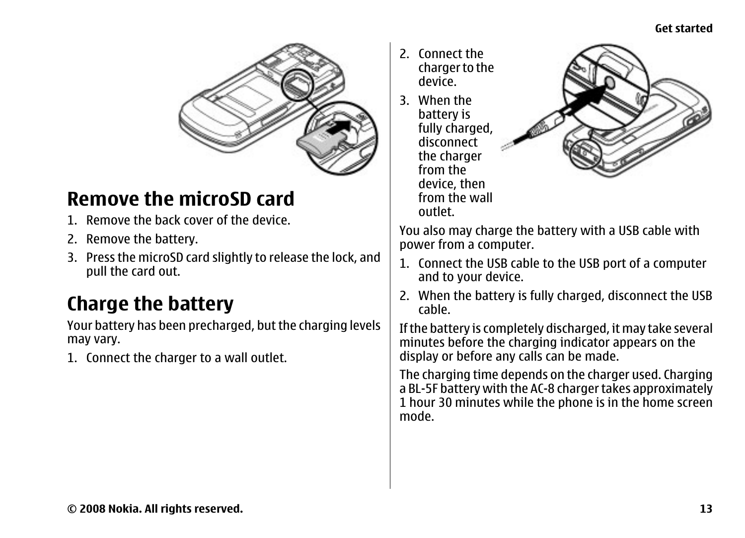#### **Get started**

<span id="page-12-0"></span>

### **Remove the microSD card**

- 1. Remove the back cover of the device.
- 2. Remove the battery.
- 3. Press the microSD card slightly to release the lock, and pull the card out.

### **Charge the battery**

Your battery has been precharged, but the charging levels may vary.

1. Connect the charger to a wall outlet.

- 2. Connect the charger to the device.
- 3. When the battery is fully charged, disconnectthe charger from the device, then from the walloutlet.



You also may charge the battery with a USB cable with power from a computer.

- 1. Connect the USB cable to the USB port of a computer and to your device.
- 2. When the battery is fully charged, disconnect the USB cable.

If the battery is completely discharged, it may take several minutes before the charging indicator appears on the display or before any calls can be made.

The charging time depends on the charger used. Charging a BL-5F battery with the AC-8 charger takes approximately 1 hour 30 minutes while the phone is in the home screen mode.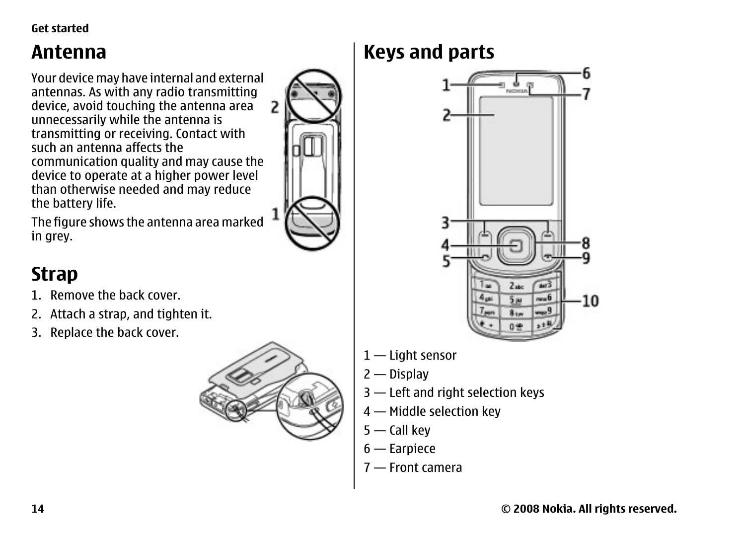<span id="page-13-0"></span>**Get started**

### **Antenna**

Your device may have internal and external antennas. As with any radio transmitting device, avoid touching the antenna area unnecessarily while the antenna is transmitting or receiving. Contact with such an antenna affects the communication quality and may cause the device to operate at a higher power level than otherwise needed and may reduce the battery life.

The figure shows the antenna area marked in grey.

### **Strap**

- 1. Remove the back cover.
- 2. Attach a strap, and tighten it.
- 3. Replace the back cover.



### **Keys and parts**



- 1 Light sensor
- 2 Display
- 3 Left and right selection keys
- 4 Middle selection key
- 5 Call key
- 6 Earpiece
- 7 Front camera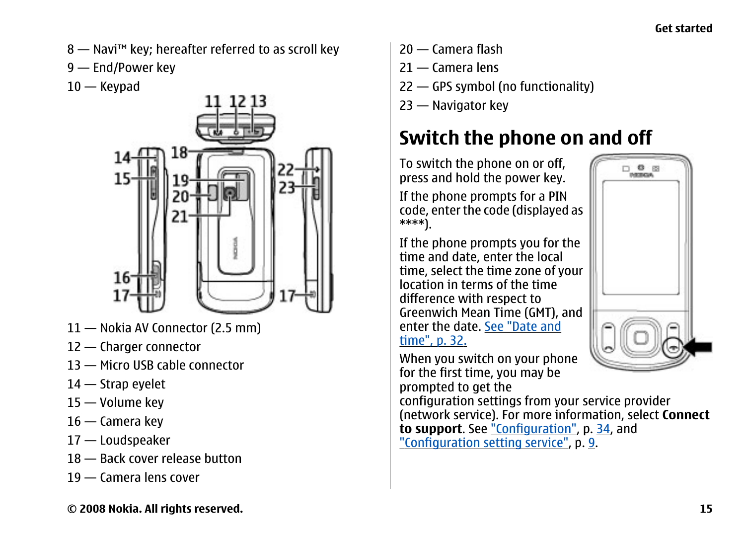- <span id="page-14-0"></span>8 — Navi™ key; hereafter referred to as scroll key
- 9 End/Power key
- 10 Keypad



- 11 Nokia AV Connector (2.5 mm)
- 12 Charger connector
- 13 Micro USB cable connector
- 14 Strap eyelet
- 15 Volume key
- 16 Camera key
- 17 Loudspeaker
- 18 Back cover release button
- 19 Camera lens cover
- 20 Camera flash
- 21 Camera lens
- 22 GPS symbol (no functionality)
- 23 Navigator key

### **Switch the phone on and off**

To switch the phone on or off, press and hold the power key.

If the phone prompts for a PIN code, enter the code (displayed as \*\*\*\*).

If the phone prompts you for the time and date, enter the local time, select the time zone of your location in terms of the timedifference with respect to Greenwich Mean Time (GMT), and enter the date. [See "Date and](#page-31-0)[time", p. 32.](#page-31-0)

When you switch on your phone for the first time, you may be prompted to get the

configuration settings from your service provider (network service). For more information, select **Connect to support**. See ["Configuration",](#page-33-0) p. [34,](#page-33-0) and ["Configuration setting service"](#page-8-0), p. [9](#page-8-0).

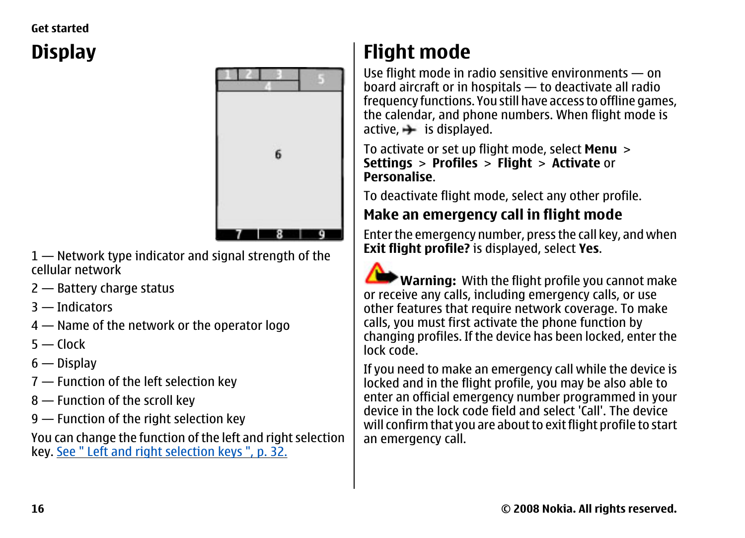#### <span id="page-15-0"></span>**Get started**

## **Display**



1 — Network type indicator and signal strength of the cellular network

- 2 Battery charge status
- 3 Indicators
- 4 Name of the network or the operator logo
- 5 Clock
- 6 Display
- 7 Function of the left selection key
- 8 Function of the scroll key
- 9 Function of the right selection key

You can change the function of the left and right selection key. [See " Left and right selection keys ", p. 32.](#page-31-0)

## **Flight mode**

Use flight mode in radio sensitive environments — on board aircraft or in hospitals — to deactivate all radio frequency functions. You still have access to offline games, the calendar, and phone numbers. When flight mode is  $active. \rightarrow is$  displayed.

To activate or set up flight mode, select **Menu** <sup>&</sup>gt; **Settings** <sup>&</sup>gt;**Profiles** <sup>&</sup>gt;**Flight** <sup>&</sup>gt;**Activate** or **Personalise**.

To deactivate flight mode, select any other profile.

#### **Make an emergency call in flight mode**

Enter the emergency number, press the call key, and when **Exit flight profile?** is displayed, select **Yes**.

**Warning:** With the flight profile you cannot make or receive any calls, including emergency calls, or use other features that require network coverage. To make calls, you must first activate the phone function by changing profiles. If the device has been locked, enter the lock code.

If you need to make an emergency call while the device is locked and in the flight profile, you may be also able to enter an official emergency number programmed in your device in the lock code field and select 'Call'. The devicewill confirm that you are about to exit flight profile to start an emergency call.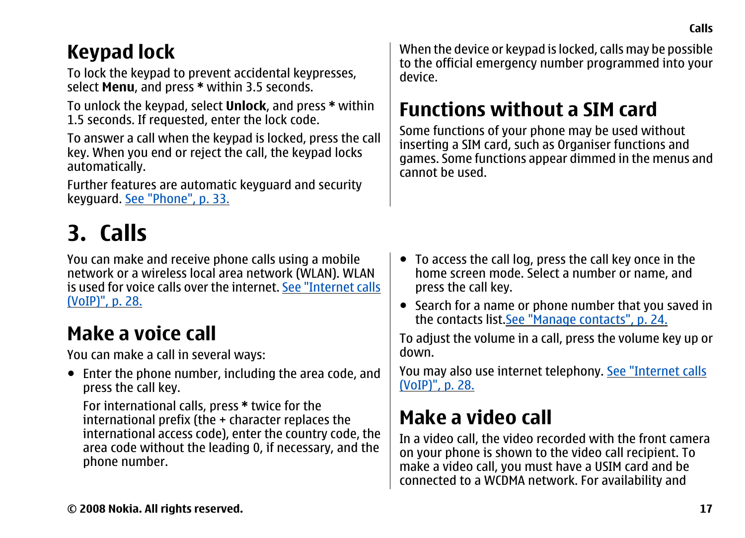### <span id="page-16-0"></span>**Keypad lock**

To lock the keypad to prevent accidental keypresses, select **Menu**, and press **\*** within 3.5 seconds.

To unlock the keypad, select **Unlock**, and press **\*** within 1.5 seconds. If requested, enter the lock code.

To answer a call when the keypad is locked, press the call key. When you end or reject the call, the keypad locks automatically.

Further features are automatic keyguard and security keyguard. [See "Phone", p. 33.](#page-32-0)

## **3. Calls**

You can make and receive phone calls using a mobile network or a wireless local area network (WLAN). WLAN is used for voice calls over the internet. [See "Internet calls](#page-27-0)[\(VoIP\)", p. 28.](#page-27-0)

### **Make a voice call**

You can make a call in several ways:

● Enter the phone number, including the area code, and press the call key.

For international calls, press **\*** twice for the international prefix (the + character replaces the international access code), enter the country code, the area code without the leading 0, if necessary, and the phone number.

When the device or keypad is locked, calls may be possible to the official emergency number programmed into your device.

## **Functions without a SIM card**

Some functions of your phone may be used without inserting a SIM card, such as Organiser functions and games. Some functions appear dimmed in the menus and cannot be used.

- To access the call log, press the call key once in the home screen mode. Select a number or name, and press the call key.
- Search for a name or phone number that you saved in the contacts list.[See "Manage contacts", p. 24.](#page-23-0)

To adjust the volume in a call, press the volume key up or down.

You may also use internet telephony. [See "Internet calls](#page-27-0) [\(VoIP\)", p. 28.](#page-27-0)

### **Make a video call**

In a video call, the video recorded with the front camera on your phone is shown to the video call recipient. To make a video call, you must have a USIM card and be connected to a WCDMA network. For availability and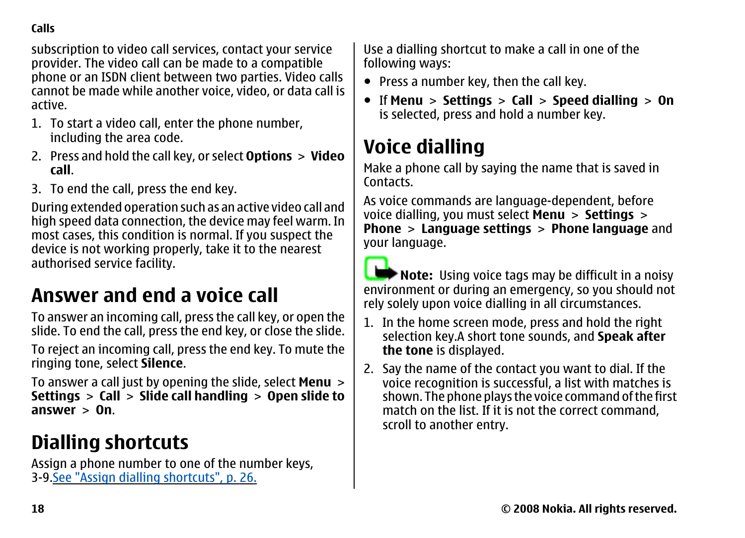<span id="page-17-0"></span>**Calls**

subscription to video call services, contact your service provider. The video call can be made to a compatible phone or an ISDN client between two parties. Video calls cannot be made while another voice, video, or data call is active.

- 1. To start a video call, enter the phone number, including the area code.
- 2. Press and hold the call key, or select **Options** > **Video call**.
- 3. To end the call, press the end key.

During extended operation such as an active video call and high speed data connection, the device may feel warm. In most cases, this condition is normal. If you suspect the device is not working properly, take it to the nearest authorised service facility.

### **Answer and end a voice call**

To answer an incoming call, press the call key, or open the slide. To end the call, press the end key, or close the slide.

To reject an incoming call, press the end key. To mute the ringing tone, select **Silence**.

To answer a call just by opening the slide, select **Menu** <sup>&</sup>gt; **Settings** <sup>&</sup>gt;**Call** <sup>&</sup>gt;**Slide call handling** <sup>&</sup>gt;**Open slide to answer** > **On**.

### **Dialling shortcuts**

Assign a phone number to one of the number keys, 3-9.[See "Assign dialling shortcuts", p. 26.](#page-25-0)

Use a dialling shortcut to make a call in one of the following ways:

- Press a number key, then the call key.
- If **Menu** <sup>&</sup>gt;**Settings** <sup>&</sup>gt;**Call** <sup>&</sup>gt;**Speed dialling** <sup>&</sup>gt;**On** is selected, press and hold a number key.

### **Voice dialling**

Make a phone call by saying the name that is saved in Contacts.

As voice commands are language-dependent, before voice dialling, you must select **Menu** <sup>&</sup>gt;**Settings** <sup>&</sup>gt; **Phone** <sup>&</sup>gt;**Language settings** <sup>&</sup>gt;**Phone language** and your language.

**Note:** Using voice tags may be difficult in a noisy environment or during an emergency, so you should not rely solely upon voice dialling in all circumstances.

- 1. In the home screen mode, press and hold the right selection key.A short tone sounds, and **Speak after the tone** is displayed.
- 2. Say the name of the contact you want to dial. If the voice recognition is successful, a list with matches is shown. The phone plays the voice command of the first match on the list. If it is not the correct command, scroll to another entry.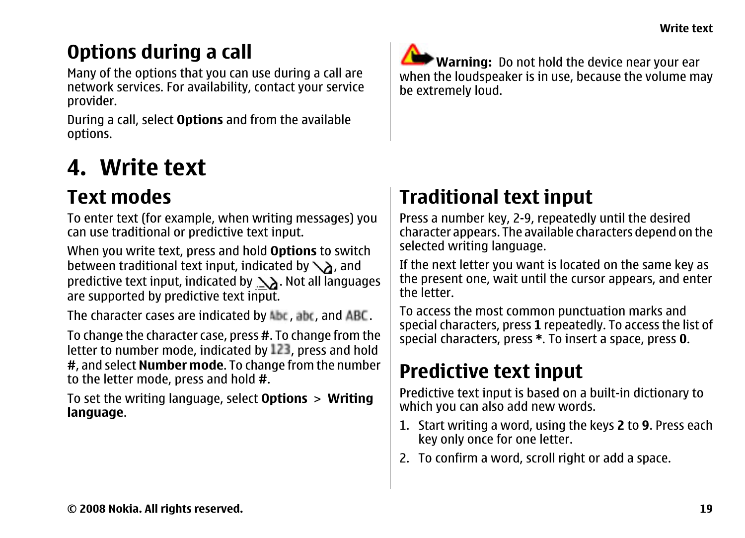## <span id="page-18-0"></span>**Options during a call**

Many of the options that you can use during a call are network services. For availability, contact your service provider.

During a call, select **Options** and from the available options.

## **4. Write text**

### **Text modes**

To enter text (for example, when writing messages) you can use traditional or predictive text input.

When you write text, press and hold **Options** to switch between traditional text input, indicated by  $\setminus$  and predictive text input, indicated by  $\Delta$ . Not all languages are supported by predictive text input.

The character cases are indicated by Abc, abc, and ABC.

To change the character case, press **#**. To change from the letter to number mode, indicated by 123, press and hold **#**, and select **Number mode**. To change from the number to the letter mode, press and hold **#**.

To set the writing language, select **Options** <sup>&</sup>gt;**Writing language**.

**Warning:** Do not hold the device near your ear when the loudspeaker is in use, because the volume may be extremely loud.

## **Traditional text input**

Press a number key, 2-9, repeatedly until the desired character appears. The available characters depend on the selected writing language.

If the next letter you want is located on the same key as the present one, wait until the cursor appears, and enter the letter.

To access the most common punctuation marks and special characters, press **1** repeatedly. To access the list of special characters, press **\***. To insert a space, press **0**.

## **Predictive text input**

Predictive text input is based on a built-in dictionary to which you can also add new words.

- 1. Start writing a word, using the keys **2** to **9**. Press each key only once for one letter.
- 2. To confirm a word, scroll right or add a space.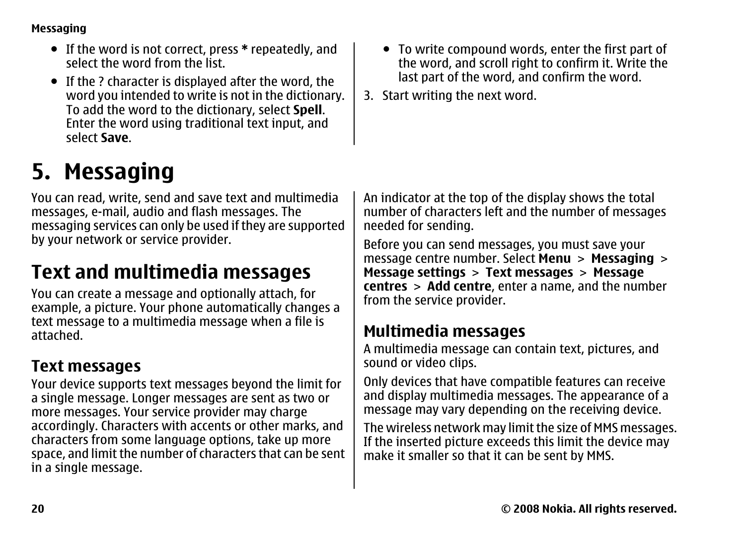#### <span id="page-19-0"></span>**Messaging**

- If the word is not correct, press **\*** repeatedly, and select the word from the list.
- If the ? character is displayed after the word, the word you intended to write is not in the dictionary. To add the word to the dictionary, select **Spell**. Enter the word using traditional text input, and select **Save**.

## **5. Messaging**

You can read, write, send and save text and multimedia messages, e-mail, audio and flash messages. The messaging services can only be used if they are supported by your network or service provider.

### **Text and multimedia messages**

You can create a message and optionally attach, for example, a picture. Your phone automatically changes a text message to a multimedia message when a file is attached.

#### **Text messages**

Your device supports text messages beyond the limit for a single message. Longer messages are sent as two or more messages. Your service provider may charge accordingly. Characters with accents or other marks, and characters from some language options, take up more space, and limit the number of characters that can be sent in a single message.

- To write compound words, enter the first part of the word, and scroll right to confirm it. Write the last part of the word, and confirm the word.
- 3. Start writing the next word.

An indicator at the top of the display shows the total number of characters left and the number of messages needed for sending.

Before you can send messages, you must save your message centre number. Select **Menu** <sup>&</sup>gt;**Messaging** <sup>&</sup>gt; **Message settings** <sup>&</sup>gt;**Text messages** <sup>&</sup>gt;**Message centres** <sup>&</sup>gt;**Add centre**, enter a name, and the number from the service provider.

#### **Multimedia messages**

A multimedia message can contain text, pictures, and sound or video clips.

Only devices that have compatible features can receive and display multimedia messages. The appearance of a message may vary depending on the receiving device.

The wireless network may limit the size of MMS messages. If the inserted picture exceeds this limit the device may make it smaller so that it can be sent by MMS.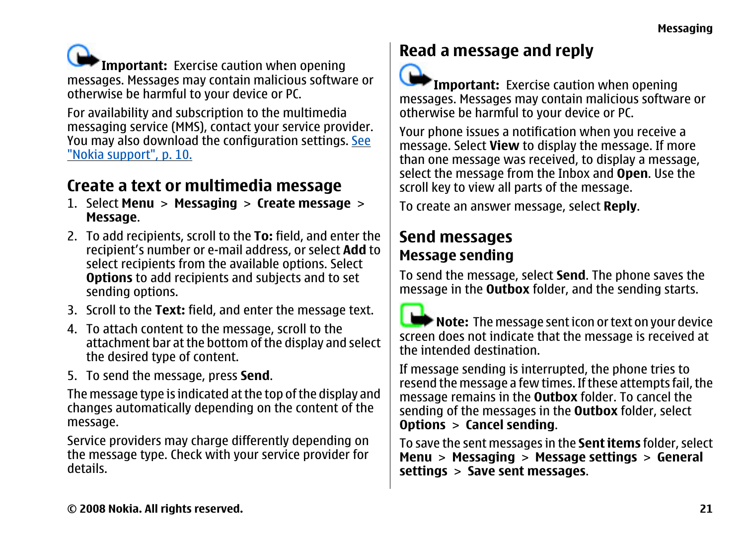<span id="page-20-0"></span>**Important:** Exercise caution when opening messages. Messages may contain malicious software or otherwise be harmful to your device or PC.

For availability and subscription to the multimedia messaging service (MMS), contact your service provider. You may also download the configuration settings. [See](#page-9-0) ["Nokia support", p. 10.](#page-9-0)

#### **Create a text or multimedia message**

- 1. Select **Menu** <sup>&</sup>gt;**Messaging** <sup>&</sup>gt;**Create message** <sup>&</sup>gt; **Message**.
- 2. To add recipients, scroll to the **To:** field, and enter the recipient's number or e-mail address, or select **Add** to select recipients from the available options. Select **Options** to add recipients and subjects and to set sending options.
- 3. Scroll to the **Text:** field, and enter the message text.
- 4. To attach content to the message, scroll to the attachment bar at the bottom of the display and select the desired type of content.
- 5. To send the message, press **Send**.

The message type is indicated at the top of the display and changes automatically depending on the content of the message.

Service providers may charge differently depending on the message type. Check with your service provider for details.

#### **Read a message and reply**



**Important:** Exercise caution when opening messages. Messages may contain malicious software or otherwise be harmful to your device or PC.

Your phone issues a notification when you receive a message. Select **View** to display the message. If more than one message was received, to display a message, select the message from the Inbox and **Open**. Use the scroll key to view all parts of the message.

To create an answer message, select **Reply**.

#### **Send messages Message sending**

To send the message, select **Send**. The phone saves the message in the **Outbox** folder, and the sending starts.

**Note:** The message sent icon or text on your device screen does not indicate that the message is received at the intended destination.

If message sending is interrupted, the phone tries to resend the message a few times. If these attempts fail, the message remains in the **Outbox** folder. To cancel the sending of the messages in the **Outbox** folder, select **Options** <sup>&</sup>gt;**Cancel sending**.

To save the sent messages in the **Sent items** folder, select **Menu** <sup>&</sup>gt;**Messaging** <sup>&</sup>gt;**Message settings** <sup>&</sup>gt;**General settings** <sup>&</sup>gt;**Save sent messages**.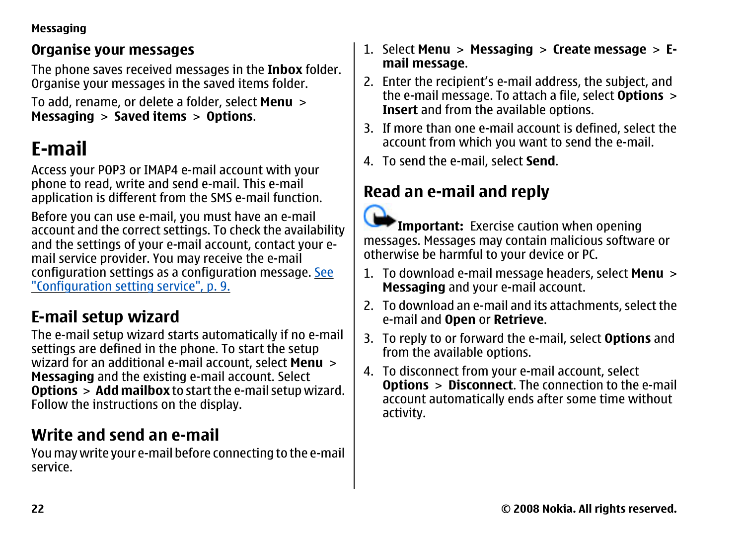#### <span id="page-21-0"></span>**Messaging**

#### **Organise your messages**

The phone saves received messages in the **Inbox** folder. Organise your messages in the saved items folder.

To add, rename, or delete a folder, select **Menu** <sup>&</sup>gt; **Messaging** <sup>&</sup>gt;**Saved items** <sup>&</sup>gt;**Options**.

### **E-mail**

Access your POP3 or IMAP4 e-mail account with your phone to read, write and send e-mail. This e-mail application is different from the SMS e-mail function.

Before you can use e-mail, you must have an e-mail account and the correct settings. To check the availability and the settings of your e-mail account, contact your email service provider. You may receive the e-mail configuration settings as a configuration message. [See](#page-8-0) ["Configuration setting service", p. 9.](#page-8-0)

#### **E-mail setup wizard**

The e-mail setup wizard starts automatically if no e-mail settings are defined in the phone. To start the setup wizard for an additional e-mail account, select **Menu** <sup>&</sup>gt; **Messaging** and the existing e-mail account. Select **Options** > **Add mailbox** to start the e-mail setup wizard. Follow the instructions on the display.

#### **Write and send an e-mail**

You may write your e-mail before connecting to the e-mail service.

#### 1. Select **Menu** <sup>&</sup>gt;**Messaging** <sup>&</sup>gt;**Create message** <sup>&</sup>gt;**Email message**.

- 2. Enter the recipient's e-mail address, the subject, and the e-mail message. To attach a file, select **Options** <sup>&</sup>gt; **Insert** and from the available options.
- 3. If more than one e-mail account is defined, select the account from which you want to send the e-mail.
- 4. To send the e-mail, select **Send**.

#### **Read an e-mail and reply**



**Important:** Exercise caution when opening messages. Messages may contain malicious software or otherwise be harmful to your device or PC.

- 1. To download e-mail message headers, select **Menu** <sup>&</sup>gt; **Messaging** and your e-mail account.
- 2. To download an e-mail and its attachments, select the e-mail and **Open** or **Retrieve**.
- 3. To reply to or forward the e-mail, select **Options** and from the available options.
- 4. To disconnect from your e-mail account, select **Options** <sup>&</sup>gt;**Disconnect**. The connection to the e-mail account automatically ends after some time without activity.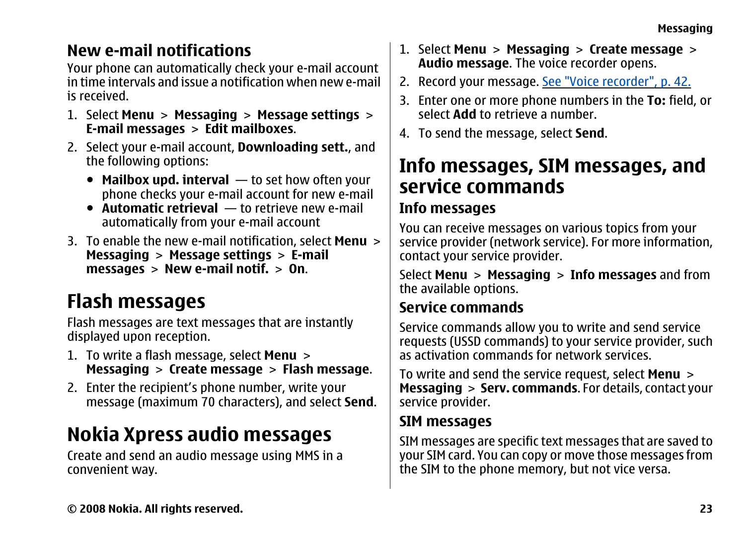#### <span id="page-22-0"></span>**New e-mail notifications**

Your phone can automatically check your e-mail account in time intervals and issue a notification when new e-mailis received.

- 1. Select **Menu** <sup>&</sup>gt;**Messaging** <sup>&</sup>gt;**Message settings** <sup>&</sup>gt; **E-mail messages** <sup>&</sup>gt;**Edit mailboxes**.
- 2. Select your e-mail account, **Downloading sett.**, and the following options:
	- **Mailbox upd. interval** to set how often your phone checks your e-mail account for new e-mail
	- **Automatic retrieval** to retrieve new e-mail automatically from your e-mail account
- 3. To enable the new e-mail notification, select **Menu** <sup>&</sup>gt; **Messaging** <sup>&</sup>gt;**Message settings** <sup>&</sup>gt;**E-mail messages** <sup>&</sup>gt;**New e-mail notif.** <sup>&</sup>gt;**On**.

### **Flash messages**

Flash messages are text messages that are instantly displayed upon reception.

- 1. To write a flash message, select **Menu** <sup>&</sup>gt; **Messaging** <sup>&</sup>gt;**Create message** <sup>&</sup>gt;**Flash message**.
- 2. Enter the recipient's phone number, write your message (maximum 70 characters), and select **Send**.

### **Nokia Xpress audio messages**

Create and send an audio message using MMS in a convenient way.

- 1. Select **Menu** <sup>&</sup>gt;**Messaging** <sup>&</sup>gt;**Create message** <sup>&</sup>gt; **Audio message**. The voice recorder opens.
- 2. Record your message. [See "Voice recorder", p. 42.](#page-41-0)
- 3. Enter one or more phone numbers in the **To:** field, or select **Add** to retrieve a number.
- 4. To send the message, select **Send**.

### **Info messages, SIM messages, and service commands**

#### **Info messages**

You can receive messages on various topics from your service provider (network service). For more information, contact your service provider.

Select **Menu** <sup>&</sup>gt;**Messaging** <sup>&</sup>gt;**Info messages** and from the available options.

#### **Service commands**

Service commands allow you to write and send service requests (USSD commands) to your service provider, such as activation commands for network services.

To write and send the service request, select **Menu** <sup>&</sup>gt; **Messaging** > **Serv. commands**. For details, contact your service provider.

#### **SIM messages**

SIM messages are specific text messages that are saved to your SIM card. You can copy or move those messages from the SIM to the phone memory, but not vice versa.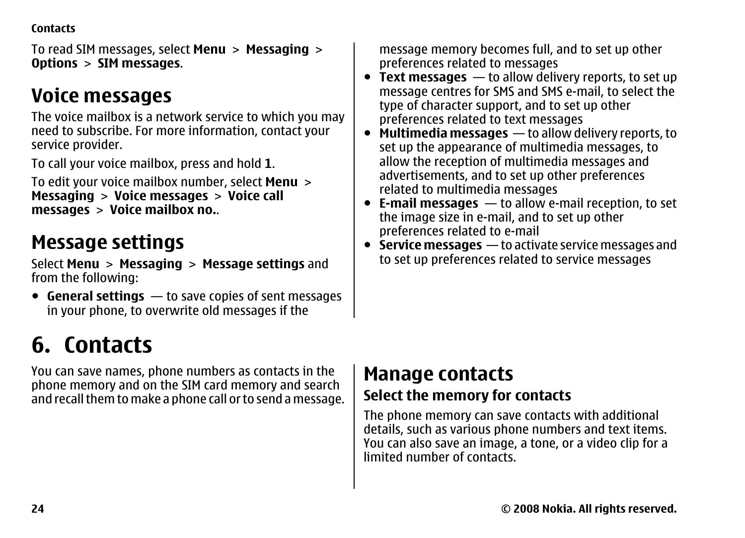<span id="page-23-0"></span>**Contacts**

To read SIM messages, select **Menu** <sup>&</sup>gt;**Messaging** <sup>&</sup>gt; **Options** <sup>&</sup>gt;**SIM messages**.

### **Voice messages**

The voice mailbox is a network service to which you may need to subscribe. For more information, contact your service provider.

To call your voice mailbox, press and hold **1**.

To edit your voice mailbox number, select **Menu** <sup>&</sup>gt; **Messaging** <sup>&</sup>gt;**Voice messages** <sup>&</sup>gt;**Voice call messages** <sup>&</sup>gt;**Voice mailbox no.**.

### **Message settings**

Select **Menu** <sup>&</sup>gt;**Messaging** <sup>&</sup>gt;**Message settings** and from the following:

● **General settings** — to save copies of sent messages in your phone, to overwrite old messages if the

## **6. Contacts**

You can save names, phone numbers as contacts in the phone memory and on the SIM card memory and search and recall them to make a phone call or to send a message. message memory becomes full, and to set up other preferences related to messages

- **Text messages** to allow delivery reports, to set up message centres for SMS and SMS e-mail, to select the type of character support, and to set up other preferences related to text messages
- **Multimedia messages** to allow delivery reports, to set up the appearance of multimedia messages, to allow the reception of multimedia messages and advertisements, and to set up other preferences related to multimedia messages
- **E-mail messages** to allow e-mail reception, to set the image size in e-mail, and to set up other preferences related to e-mail
- **Service messages** to activate service messages and to set up preferences related to service messages

### **Manage contacts**

#### **Select the memory for contacts**

The phone memory can save contacts with additional details, such as various phone numbers and text items. You can also save an image, a tone, or a video clip for a limited number of contacts.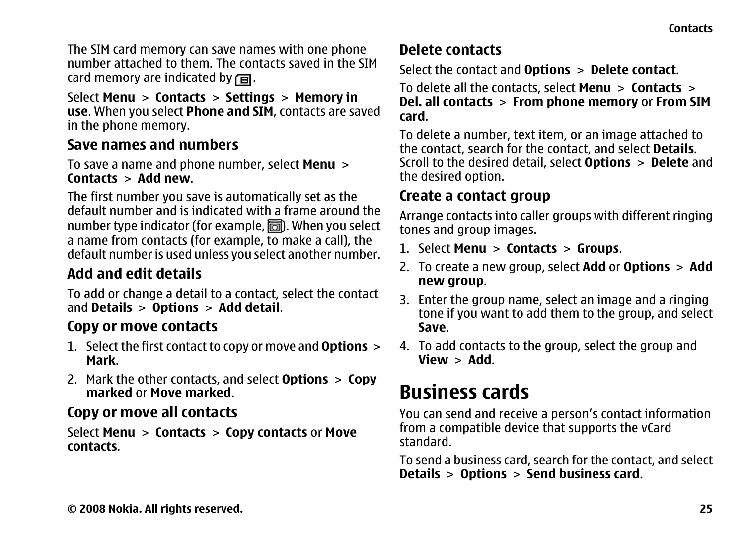<span id="page-24-0"></span>The SIM card memory can save names with one phone number attached to them. The contacts saved in the SIMcard memory are indicated by  $\Box$ .

Select **Menu** <sup>&</sup>gt;**Contacts** <sup>&</sup>gt;**Settings** <sup>&</sup>gt;**Memory in use**. When you select **Phone and SIM**, contacts are saved in the phone memory.

#### **Save names and numbers**

To save a name and phone number, select **Menu** <sup>&</sup>gt; **Contacts** <sup>&</sup>gt;**Add new**.

The first number you save is automatically set as the default number and is indicated with a frame around thenumber type indicator (for example,  $\Box$ ). When you select a name from contacts (for example, to make a call), the default number is used unless you select another number.

#### **Add and edit details**

To add or change a detail to a contact, select the contact and **Details** <sup>&</sup>gt;**Options** <sup>&</sup>gt;**Add detail**.

#### **Copy or move contacts**

- 1. Select the first contact to copy or move and **Options**<sup>&</sup>gt; **Mark**.
- 2. Mark the other contacts, and select **Options** <sup>&</sup>gt;**Copy marked** or **Move marked**.

#### **Copy or move all contacts**

Select **Menu** <sup>&</sup>gt;**Contacts** <sup>&</sup>gt;**Copy contacts** or **Move contacts**.

#### **Delete contacts**

Select the contact and **Options** <sup>&</sup>gt;**Delete contact**.

To delete all the contacts, select **Menu** <sup>&</sup>gt;**Contacts** <sup>&</sup>gt; **Del. all contacts** <sup>&</sup>gt;**From phone memory** or **From SIM card**.

To delete a number, text item, or an image attached to the contact, search for the contact, and select **Details**. Scroll to the desired detail, select **Options** <sup>&</sup>gt;**Delete** and the desired option.

#### **Create a contact group**

Arrange contacts into caller groups with different ringing tones and group images.

- 1. Select **Menu** <sup>&</sup>gt;**Contacts** <sup>&</sup>gt;**Groups**.
- 2. To create a new group, select **Add** or **Options** <sup>&</sup>gt;**Add new group**.
- 3. Enter the group name, select an image and a ringing tone if you want to add them to the group, and select **Save**.
- 4. To add contacts to the group, select the group and **View** <sup>&</sup>gt;**Add**.

### **Business cards**

You can send and receive a person's contact information from a compatible device that supports the vCard standard.

To send a business card, search for the contact, and select **Details** <sup>&</sup>gt;**Options** <sup>&</sup>gt;**Send business card**.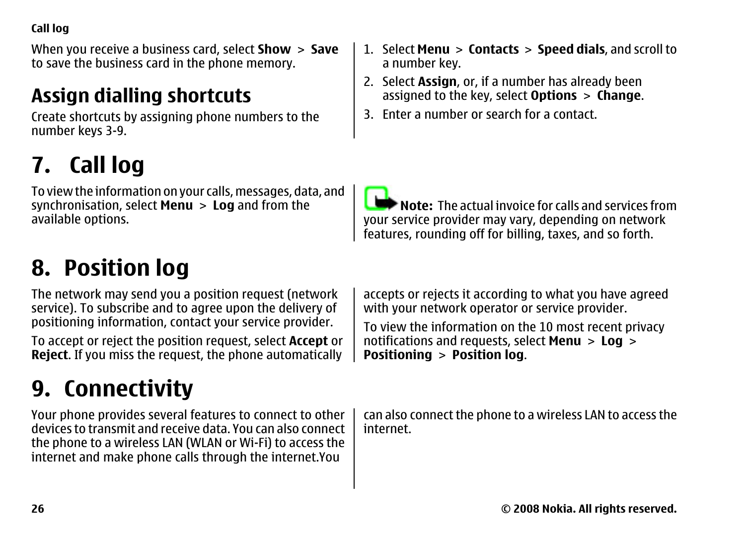<span id="page-25-0"></span>When you receive a business card, select **Show** <sup>&</sup>gt;**Save** to save the business card in the phone memory.

### **Assign dialling shortcuts**

Create shortcuts by assigning phone numbers to the number keys 3-9.

## **7. Call log**

To view the information on your calls, messages, data, and synchronisation, select **Menu** <sup>&</sup>gt;**Log** and from the available options.

## **8. Position log**

The network may send you a position request (network service). To subscribe and to agree upon the delivery of positioning information, contact your service provider.

To accept or reject the position request, select **Accept** or **Reject**. If you miss the request, the phone automatically

## **9. Connectivity**

Your phone provides several features to connect to other devices to transmit and receive data. You can also connectthe phone to a wireless LAN (WLAN or Wi-Fi) to access the internet and make phone calls through the internet.You

- 2. Select **Assign**, or, if a number has already been assigned to the key, select **Options** <sup>&</sup>gt;**Change**.
- 3. Enter a number or search for a contact.

**Note:** The actual invoice for calls and services from your service provider may vary, depending on network features, rounding off for billing, taxes, and so forth.

accepts or rejects it according to what you have agreed with your network operator or service provider.

To view the information on the 10 most recent privacy notifications and requests, select **Menu** <sup>&</sup>gt;**Log** <sup>&</sup>gt; **Positioning** <sup>&</sup>gt;**Position log**.

can also connect the phone to a wireless LAN to access the internet.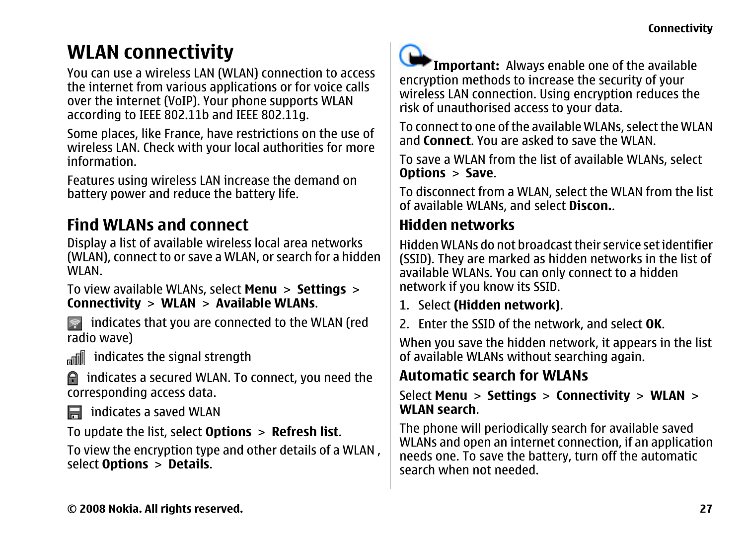### <span id="page-26-0"></span>**WLAN connectivity**

You can use a wireless LAN (WLAN) connection to access the internet from various applications or for voice calls over the internet (VoIP). Your phone supports WLAN according to IEEE 802.11b and IEEE 802.11g.

Some places, like France, have restrictions on the use of wireless LAN. Check with your local authorities for more information.

Features using wireless LAN increase the demand on battery power and reduce the battery life.

#### **Find WLANs and connect**

Display a list of available wireless local area networks (WLAN), connect to or save a WLAN, or search for a hidden WI AN<sup>1</sup>

To view available WLANs, select **Menu** <sup>&</sup>gt;**Settings** <sup>&</sup>gt; **Connectivity** <sup>&</sup>gt;**WLAN** <sup>&</sup>gt;**Available WLANs**.

**indicates that you are connected to the WLAN (red** radio wave)

indicates the signal strength

 indicates a secured WLAN. To connect, you need the corresponding access data.

indicates a saved WLAN

To update the list, select **Options** <sup>&</sup>gt;**Refresh list**.

To view the encryption type and other details of a WLAN , select **Options** <sup>&</sup>gt;**Details**.



**Important:** Always enable one of the available encryption methods to increase the security of your wireless LAN connection. Using encryption reduces the risk of unauthorised access to your data.

To connect to one of the available WLANs, select the WLAN and **Connect**. You are asked to save the WLAN.

To save a WLAN from the list of available WLANs, select **Options** <sup>&</sup>gt;**Save**.

To disconnect from a WLAN, select the WLAN from the list of available WLANs, and select **Discon.**.

#### **Hidden networks**

Hidden WLANs do not broadcast their service set identifier (SSID). They are marked as hidden networks in the list of available WLANs. You can only connect to a hidden network if you know its SSID.

- 1. Select **(Hidden network)**.
- 2. Enter the SSID of the network, and select **OK**.

When you save the hidden network, it appears in the list of available WLANs without searching again.

#### **Automatic search for WLANs**

Select **Menu** <sup>&</sup>gt;**Settings** <sup>&</sup>gt;**Connectivity** <sup>&</sup>gt;**WLAN** <sup>&</sup>gt; **WLAN search**.

The phone will periodically search for available saved WLANs and open an internet connection, if an application needs one. To save the battery, turn off the automatic search when not needed.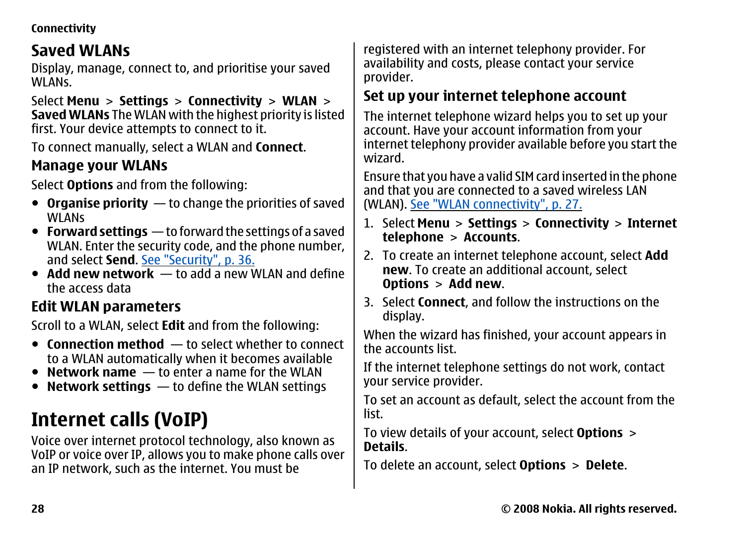#### <span id="page-27-0"></span>**Connectivity**

#### **Saved WLANs**

Display, manage, connect to, and prioritise your saved WLANS<sup>.</sup>

Select **Menu** <sup>&</sup>gt;**Settings** <sup>&</sup>gt;**Connectivity** <sup>&</sup>gt;**WLAN** <sup>&</sup>gt; **Saved WLANs** The WLAN with the highest priority is listed first. Your device attempts to connect to it.

To connect manually, select a WLAN and **Connect**.

#### **Manage your WLANs**

Select **Options** and from the following:

- **Organise priority** to change the priorities of saved WLANs
- **Forward settings** to forward the settings of a saved WLAN. Enter the security code, and the phone number, and select **Send**. [See "Security", p. 36.](#page-35-0)
- **Add new network** to add a new WLAN and define the access data

#### **Edit WLAN parameters**

Scroll to a WLAN, select **Edit** and from the following:

- **Connection method** to select whether to connect to a WLAN automatically when it becomes available
- **Network name** to enter a name for the WLAN
- **Network settings** to define the WLAN settings

### **Internet calls (VoIP)**

Voice over internet protocol technology, also known as VoIP or voice over IP, allows you to make phone calls over an IP network, such as the internet. You must be

registered with an internet telephony provider. For availability and costs, please contact your service provider.

#### **Set up your internet telephone account**

The internet telephone wizard helps you to set up your account. Have your account information from your internet telephony provider available before you start the wizard.

Ensure that you have a valid SIM card inserted in the phone and that you are connected to a saved wireless LAN (WLAN). [See "WLAN connectivity", p. 27.](#page-26-0)

- 1. Select **Menu** > **Settings** > **Connectivity** > **Internet telephone** <sup>&</sup>gt;**Accounts**.
- 2. To create an internet telephone account, select **Add new**. To create an additional account, select **Options** <sup>&</sup>gt;**Add new**.
- 3. Select **Connect**, and follow the instructions on the display.

When the wizard has finished, your account appears in the accounts list.

If the internet telephone settings do not work, contact your service provider.

To set an account as default, select the account from the list.

To view details of your account, select **Options** <sup>&</sup>gt; **Details**.

To delete an account, select **Options** <sup>&</sup>gt;**Delete**.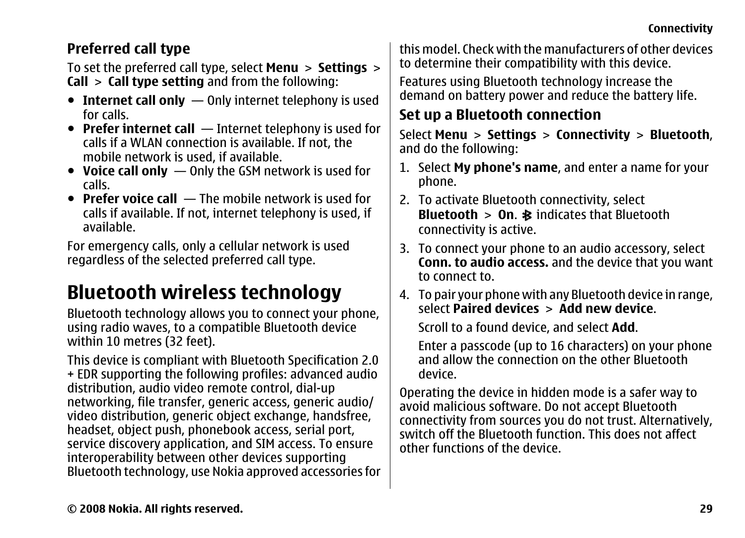#### <span id="page-28-0"></span>**Preferred call type**

To set the preferred call type, select **Menu** <sup>&</sup>gt;**Settings** <sup>&</sup>gt; **Call** <sup>&</sup>gt;**Call type setting** and from the following:

- **Internet call only** Only internet telephony is used for calls.
- **Prefer internet call** Internet telephony is used for calls if a WLAN connection is available. If not, the mobile network is used, if available.
- **Voice call only** Only the GSM network is used for calls.
- **Prefer voice call** The mobile network is used for calls if available. If not, internet telephony is used, if available.

For emergency calls, only a cellular network is used regardless of the selected preferred call type.

### **Bluetooth wireless technology**

Bluetooth technology allows you to connect your phone, using radio waves, to a compatible Bluetooth device within 10 metres (32 feet).

This device is compliant with Bluetooth Specification 2.0 + EDR supporting the following profiles: advanced audio distribution, audio video remote control, dial-up networking, file transfer, generic access, generic audio/ video distribution, generic object exchange, handsfree, headset, object push, phonebook access, serial port, service discovery application, and SIM access. To ensure interoperability between other devices supporting Bluetooth technology, use Nokia approved accessories for this model. Check with the manufacturers of other devicesto determine their compatibility with this device.

Features using Bluetooth technology increase the demand on battery power and reduce the battery life.

#### **Set up a Bluetooth connection**

Select **Menu** <sup>&</sup>gt;**Settings** <sup>&</sup>gt;**Connectivity** <sup>&</sup>gt;**Bluetooth**, and do the following:

- 1. Select **My phone's name**, and enter a name for your phone.
- 2. To activate Bluetooth connectivity, select **Bluetooth** > **On.**  $\frac{1}{2}$  indicates that Bluetooth connectivity is active.
- 3. To connect your phone to an audio accessory, select **Conn. to audio access.** and the device that you want to connect to.
- 4. To pair your phone with any Bluetooth device in range, select **Paired devices** <sup>&</sup>gt;**Add new device**.

Scroll to a found device, and select **Add**.

Enter a passcode (up to 16 characters) on your phone and allow the connection on the other Bluetoothdevice.

Operating the device in hidden mode is a safer way to avoid malicious software. Do not accept Bluetooth connectivity from sources you do not trust. Alternatively, switch off the Bluetooth function. This does not affectother functions of the device.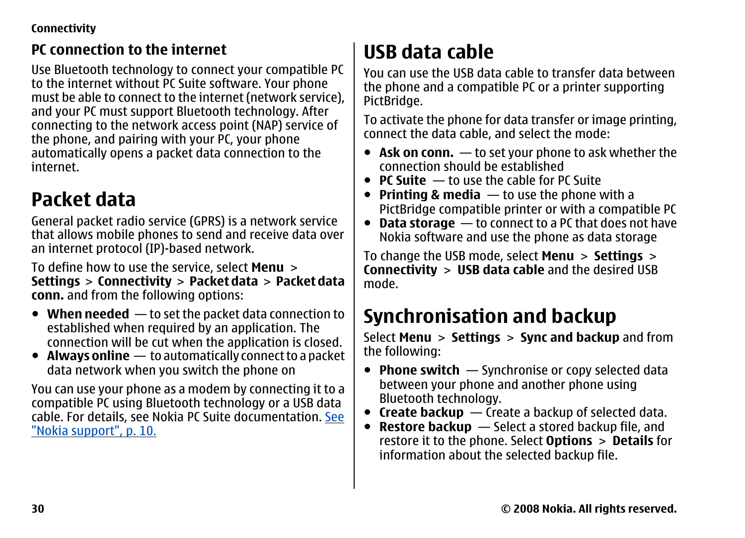#### <span id="page-29-0"></span>**Connectivity**

#### **PC connection to the internet**

Use Bluetooth technology to connect your compatible PC to the internet without PC Suite software. Your phone must be able to connect to the internet (network service), and your PC must support Bluetooth technology. After connecting to the network access point (NAP) service of the phone, and pairing with your PC, your phone automatically opens a packet data connection to the internet.

### **Packet data**

General packet radio service (GPRS) is a network service that allows mobile phones to send and receive data over an internet protocol (IP)-based network.

To define how to use the service, select **Menu** <sup>&</sup>gt; **Settings** > **Connectivity** > **Packet data** > **Packet data conn.** and from the following options:

- **When needed** to set the packet data connection to established when required by an application. The connection will be cut when the application is closed.
- **Always online** to automatically connect to a packet data network when you switch the phone on

You can use your phone as a modem by connecting it to a compatible PC using Bluetooth technology or a USB data cable. For details, see Nokia PC Suite documentation. [See](#page-9-0) ["Nokia support", p. 10.](#page-9-0)

### **USB data cable**

You can use the USB data cable to transfer data betweenthe phone and a compatible PC or a printer supporting PictBridge.

To activate the phone for data transfer or image printing, connect the data cable, and select the mode:

- **Ask on conn.** to set your phone to ask whether the connection should be established
- **PC Suite** to use the cable for PC Suite
- **Printing & media** to use the phone with a PictBridge compatible printer or with a compatible PC
- **Data storage** to connect to a PC that does not have Nokia software and use the phone as data storage

To change the USB mode, select **Menu** <sup>&</sup>gt;**Settings** <sup>&</sup>gt; **Connectivity** <sup>&</sup>gt;**USB data cable** and the desired USB mode.

### **Synchronisation and backup**

Select **Menu** <sup>&</sup>gt;**Settings** <sup>&</sup>gt;**Sync and backup** and from the following:

- **Phone switch** Synchronise or copy selected data between your phone and another phone using Bluetooth technology.
- **Create backup** Create a backup of selected data.
- **Restore backup** Select a stored backup file, and restore it to the phone. Select **Options** <sup>&</sup>gt;**Details** for information about the selected backup file.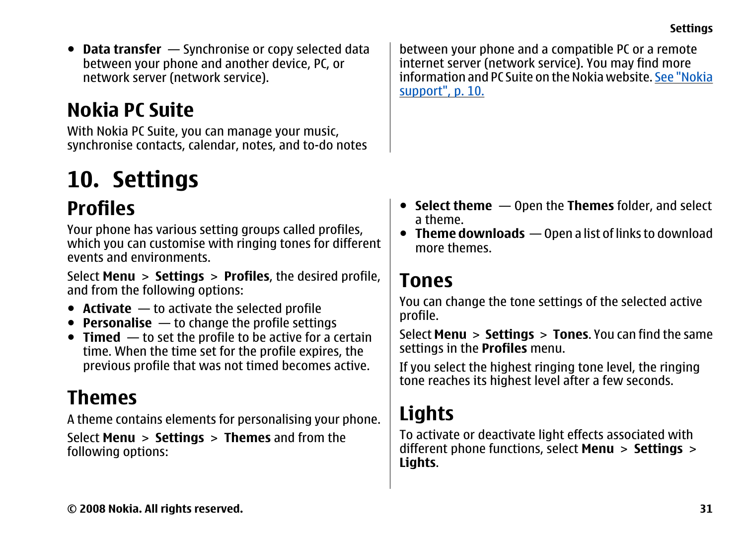<span id="page-30-0"></span>● **Data transfer** — Synchronise or copy selected data between your phone and another device, PC, or network server (network service).

### **Nokia PC Suite**

With Nokia PC Suite, you can manage your music, synchronise contacts, calendar, notes, and to-do notes

## **10. Settings**

### **Profiles**

Your phone has various setting groups called profiles, which you can customise with ringing tones for different events and environments.

Select **Menu** <sup>&</sup>gt;**Settings** <sup>&</sup>gt;**Profiles**, the desired profile, and from the following options:

- **Activate** to activate the selected profile
- **Personalise** to change the profile settings
- **Timed** to set the profile to be active for a certain time. When the time set for the profile expires, the previous profile that was not timed becomes active.

### **Themes**

A theme contains elements for personalising your phone.

Select **Menu** <sup>&</sup>gt;**Settings** <sup>&</sup>gt;**Themes** and from the following options:

between your phone and a compatible PC or a remote internet server (network service). You may find more information and PC Suite on the Nokia website. [See "Nokia](#page-9-0)[support", p. 10.](#page-9-0)

- **Select theme** Open the **Themes** folder, and select a theme.
- **Theme downloads** Open a list of links to download more themes.

### **Tones**

You can change the tone settings of the selected active profile.

Select **Menu** <sup>&</sup>gt;**Settings** <sup>&</sup>gt;**Tones**. You can find the same settings in the **Profiles** menu.

If you select the highest ringing tone level, the ringing tone reaches its highest level after a few seconds.

### **Lights**

To activate or deactivate light effects associated with different phone functions, select **Menu** <sup>&</sup>gt;**Settings** <sup>&</sup>gt; **Lights**.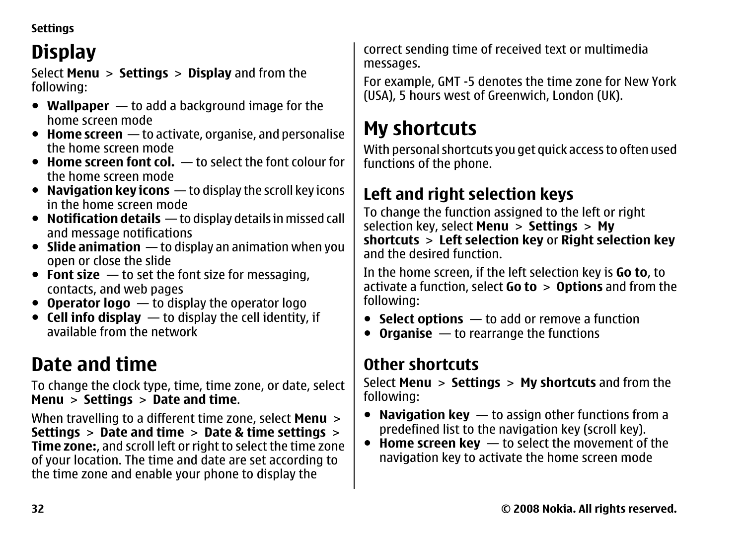<span id="page-31-0"></span>**Settings**

### **Display**

Select **Menu** <sup>&</sup>gt;**Settings** <sup>&</sup>gt;**Display** and from the following:

- **Wallpaper** to add a background image for the home screen mode
- **Home screen** to activate, organise, and personalise the home screen mode
- **Home screen font col.** to select the font colour for the home screen mode
- **Navigation key icons** to display the scroll key icons in the home screen mode
- **Notification details** to display details in missed call and message notifications
- **Slide animation** to display an animation when you open or close the slide
- **Font size** to set the font size for messaging, contacts, and web pages
- **Operator logo** to display the operator logo
- **Cell info display** to display the cell identity, if available from the network

## **Date and time**

To change the clock type, time, time zone, or date, select **Menu** <sup>&</sup>gt;**Settings** <sup>&</sup>gt;**Date and time**.

When travelling to a different time zone, select **Menu** <sup>&</sup>gt; **Settings** <sup>&</sup>gt;**Date and time** <sup>&</sup>gt;**Date & time settings** <sup>&</sup>gt; **Time zone:**, and scroll left or right to select the time zone of your location. The time and date are set according to the time zone and enable your phone to display the

correct sending time of received text or multimedia messages.

For example, GMT -5 denotes the time zone for New York (USA), 5 hours west of Greenwich, London (UK).

### **My shortcuts**

With personal shortcuts you get quick access to often used functions of the phone.

#### **Left and right selection keys**

To change the function assigned to the left or right selection key, select **Menu** <sup>&</sup>gt;**Settings** <sup>&</sup>gt;**My shortcuts** <sup>&</sup>gt;**Left selection key** or **Right selection key** and the desired function.

In the home screen, if the left selection key is **Go to**, to activate a function, select **Go to** <sup>&</sup>gt;**Options** and from the following:

- **Select options** to add or remove a function
- **Organise** to rearrange the functions

#### **Other shortcuts**

Select **Menu** <sup>&</sup>gt;**Settings** <sup>&</sup>gt;**My shortcuts** and from the following:

- **Navigation key** to assign other functions from a predefined list to the navigation key (scroll key).
- **Home screen key** to select the movement of the navigation key to activate the home screen mode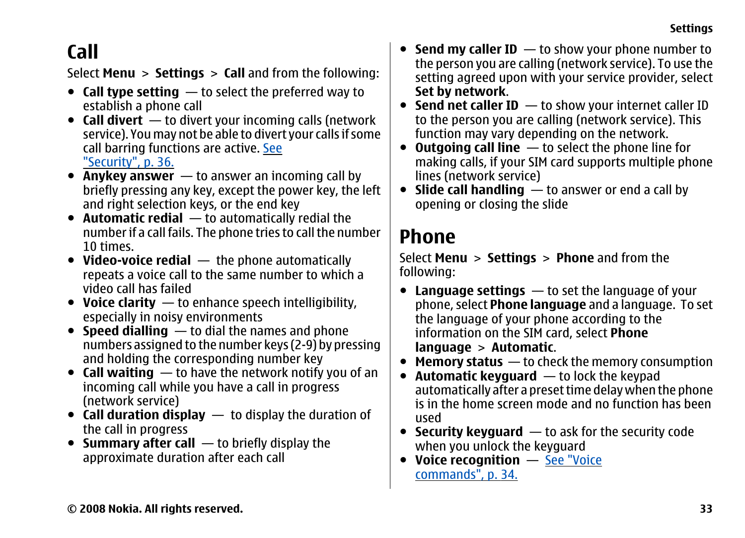### <span id="page-32-0"></span>**Call**

Select **Menu** <sup>&</sup>gt;**Settings** <sup>&</sup>gt;**Call** and from the following:

- **Call type setting** to select the preferred way to establish a phone call
- **Call divert** to divert your incoming calls (network service). You may not be able to divert your calls if some call barring functions are active. [See](#page-35-0) ["Security", p. 36.](#page-35-0)
- **Anykey answer** to answer an incoming call by briefly pressing any key, except the power key, the left and right selection keys, or the end key
- **Automatic redial** to automatically redial the number if a call fails. The phone tries to call the number 10 times.
- **Video-voice redial** the phone automatically repeats a voice call to the same number to which a video call has failed
- **Voice clarity** to enhance speech intelligibility, especially in noisy environments
- **Speed dialling** to dial the names and phone numbers assigned to the number keys (2-9) by pressing and holding the corresponding number key
- **Call waiting** to have the network notify you of an incoming call while you have a call in progress (network service)
- **Call duration display** to display the duration of the call in progress
- **Summary after call** to briefly display the approximate duration after each call
- **Send my caller ID** − to show your phone number to the person you are calling (network service). To use the setting agreed upon with your service provider, select **Set by network**.
- **Send net caller ID** to show your internet caller ID to the person you are calling (network service). This function may vary depending on the network.
- **Outgoing call line** to select the phone line for making calls, if your SIM card supports multiple phone lines (network service)
- **Slide call handling** to answer or end a call by opening or closing the slide

### **Phone**

Select **Menu** <sup>&</sup>gt;**Settings** <sup>&</sup>gt;**Phone** and from the following:

- **Language settings** to set the language of your phone, select **Phone language** and a language. To set the language of your phone according to the information on the SIM card, select **Phone language** <sup>&</sup>gt;**Automatic**.
- **Memory status** to check the memory consumption
- ● **Automatic keyguard** — to lock the keypad automatically after a preset time delay when the phone is in the home screen mode and no function has beenused
- **Security keyguard** to ask for the security code when you unlock the keyguard
- **Voice recognition** [See "Voice](#page-33-0) [commands", p. 34.](#page-33-0)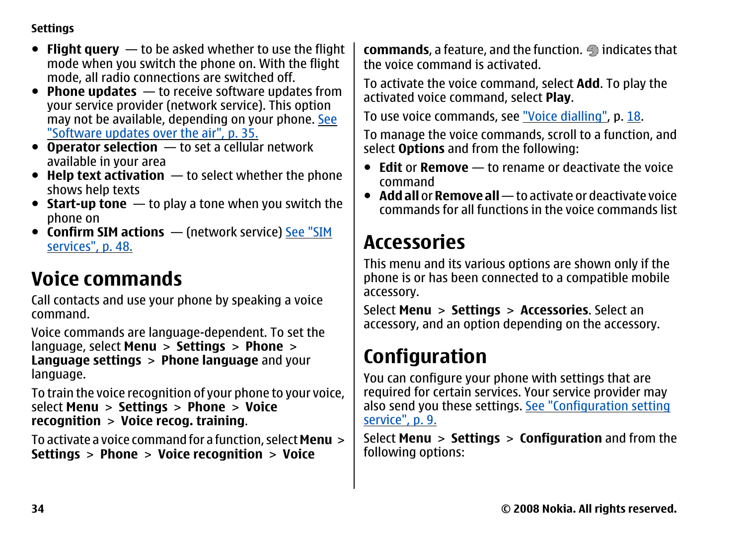#### <span id="page-33-0"></span>**Settings**

- **Flight query** to be asked whether to use the flight mode when you switch the phone on. With the flight mode, all radio connections are switched off.
- **Phone updates** to receive software updates from your service provider (network service). This option may not be available, depending on your phone. [See](#page-34-0) ["Software updates over the air", p. 35.](#page-34-0)
- **Operator selection** to set a cellular network available in your area
- **Help text activation** to select whether the phone shows help texts
- **Start-up tone** to play a tone when you switch the phone on
- **Confirm SIM actions** (network service) [See "SIM](#page-48-0) [services", p. 48.](#page-48-0)

### **Voice commands**

Call contacts and use your phone by speaking a voice command.

Voice commands are language-dependent. To set the language, select **Menu** <sup>&</sup>gt;**Settings** <sup>&</sup>gt;**Phone** <sup>&</sup>gt; **Language settings** <sup>&</sup>gt;**Phone language** and your language.

To train the voice recognition of your phone to your voice, select **Menu** <sup>&</sup>gt;**Settings** <sup>&</sup>gt;**Phone** <sup>&</sup>gt;**Voice recognition** <sup>&</sup>gt;**Voice recog. training**.

To activate a voice command for a function, select **Menu**<sup>&</sup>gt; **Settings** <sup>&</sup>gt;**Phone** <sup>&</sup>gt;**Voice recognition** <sup>&</sup>gt;**Voice**

**commands**, a feature, and the function.  $\bigoplus$  indicates that the voice command is activated.

To activate the voice command, select **Add**. To play the activated voice command, select **Play**.

To use voice commands, see ["Voice dialling"](#page-17-0), p. [18](#page-17-0).

To manage the voice commands, scroll to a function, and select **Options** and from the following:

- **Edit** or **Remove** to rename or deactivate the voice command
- **Add all** or **Remove all** to activate or deactivate voice commands for all functions in the voice commands list

### **Accessories**

This menu and its various options are shown only if the phone is or has been connected to a compatible mobile accessory.

Select **Menu** <sup>&</sup>gt;**Settings** <sup>&</sup>gt;**Accessories**. Select an accessory, and an option depending on the accessory.

### **Configuration**

You can configure your phone with settings that are required for certain services. Your service provider may also send you these settings. [See "Configuration setting](#page-8-0) [service", p. 9.](#page-8-0)

Select **Menu** <sup>&</sup>gt;**Settings** <sup>&</sup>gt;**Configuration** and from the following options: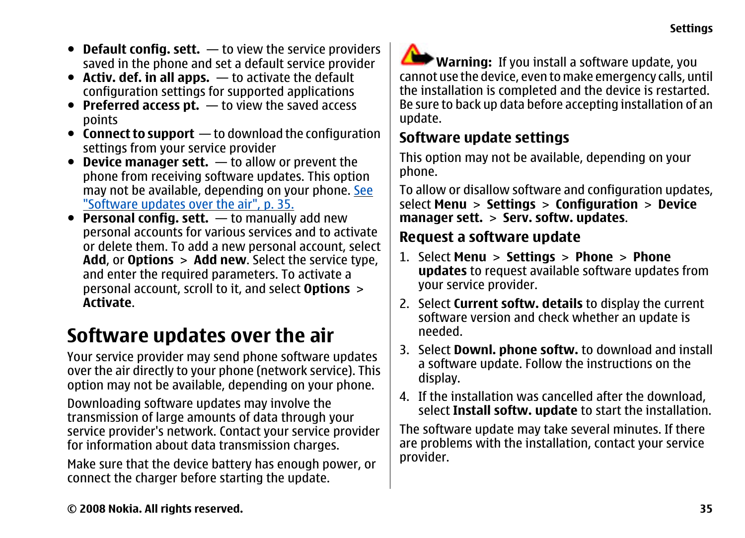- <span id="page-34-0"></span>● **Default config. sett.** — to view the service providers saved in the phone and set a default service provider
- **Activ. def. in all apps.** to activate the default configuration settings for supported applications
- **Preferred access pt.** to view the saved access points
- **Connect to support** to download the configuration settings from your service provider
- **Device manager sett.** to allow or prevent the phone from receiving software updates. This option may not be available, depending on your phone. See "Software updates over the air", p. 35.
- **Personal config. sett.** to manually add new personal accounts for various services and to activate or delete them. To add a new personal account, select **Add**, or **Options** <sup>&</sup>gt;**Add new**. Select the service type, and enter the required parameters. To activate a personal account, scroll to it, and select **Options** <sup>&</sup>gt; **Activate**.

### **Software updates over the air**

Your service provider may send phone software updates over the air directly to your phone (network service). This option may not be available, depending on your phone.

Downloading software updates may involve the transmission of large amounts of data through your service provider's network. Contact your service provider for information about data transmission charges.

Make sure that the device battery has enough power, or connect the charger before starting the update.

**Warning:** If you install a software update, you cannot use the device, even to make emergency calls, until the installation is completed and the device is restarted. Be sure to back up data before accepting installation of an update.

#### **Software update settings**

This option may not be available, depending on your phone.

To allow or disallow software and configuration updates, select **Menu** <sup>&</sup>gt;**Settings** <sup>&</sup>gt;**Configuration** <sup>&</sup>gt;**Device manager sett.** <sup>&</sup>gt;**Serv. softw. updates**.

#### **Request a software update**

- 1. Select **Menu** <sup>&</sup>gt;**Settings** <sup>&</sup>gt;**Phone** <sup>&</sup>gt;**Phone updates** to request available software updates from your service provider.
- 2. Select **Current softw. details** to display the current software version and check whether an update is needed.
- 3. Select **Downl. phone softw.** to download and install a software update. Follow the instructions on the display.
- 4. If the installation was cancelled after the download, select **Install softw. update** to start the installation.

The software update may take several minutes. If there are problems with the installation, contact your service provider.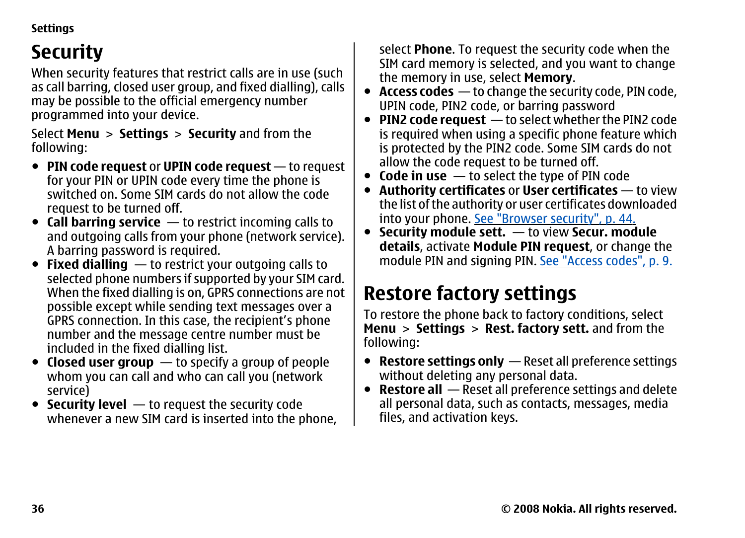#### <span id="page-35-0"></span>**Settings**

### **Security**

When security features that restrict calls are in use (such as call barring, closed user group, and fixed dialling), calls may be possible to the official emergency number programmed into your device.

Select **Menu** <sup>&</sup>gt;**Settings** <sup>&</sup>gt;**Security** and from the following:

- **PIN code request** or **UPIN code request** to request for your PIN or UPIN code every time the phone is switched on. Some SIM cards do not allow the coderequest to be turned off.
- **Call barring service** to restrict incoming calls to and outgoing calls from your phone (network service). A barring password is required.
- **Fixed dialling** to restrict your outgoing calls to selected phone numbers if supported by your SIM card. When the fixed dialling is on, GPRS connections are not possible except while sending text messages over a GPRS connection. In this case, the recipient's phone number and the message centre number must be included in the fixed dialling list.
- **Closed user group** to specify a group of people whom you can call and who can call you (network service)
- **Security level** to request the security code whenever a new SIM card is inserted into the phone,

select **Phone**. To request the security code when the SIM card memory is selected, and you want to change the memory in use, select **Memory**.

- **Access codes** to change the security code, PIN code, UPIN code, PIN2 code, or barring password
- **PIN2 code request** to select whether the PIN2 code is required when using a specific phone feature which is protected by the PIN2 code. Some SIM cards do not allow the code request to be turned off.
- **Code in use** to select the type of PIN code
- ● **Authority certificates** or **User certificates** — to view the list of the authority or user certificates downloaded into your phone. [See "Browser security", p. 44.](#page-43-0)
- **Security module sett.** to view **Secur. module details**, activate **Module PIN request**, or change the module PIN and signing PIN. [See "Access codes", p. 9.](#page-8-0)

### **Restore factory settings**

To restore the phone back to factory conditions, select **Menu** <sup>&</sup>gt;**Settings** <sup>&</sup>gt;**Rest. factory sett.** and from the following:

- **Restore settings only** Reset all preference settings without deleting any personal data.
- **Restore all** Reset all preference settings and delete all personal data, such as contacts, messages, media files, and activation keys.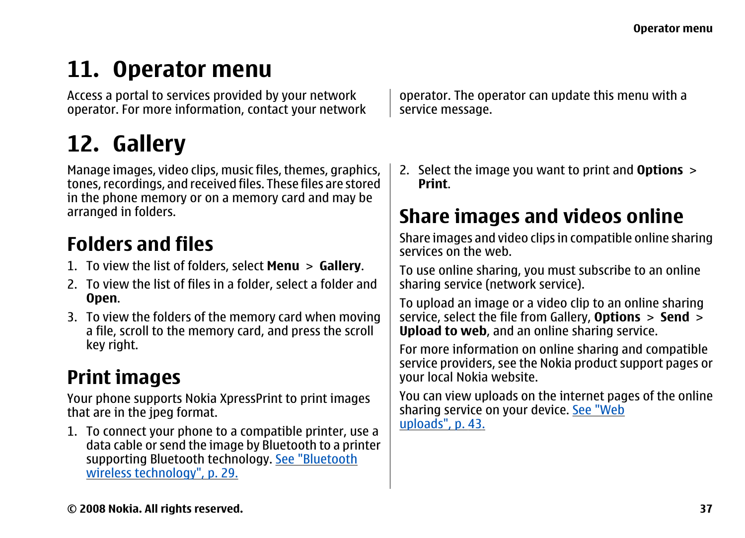## <span id="page-36-0"></span>**11. Operator menu**

Access a portal to services provided by your network operator. For more information, contact your network

## **12. Gallery**

Manage images, video clips, music files, themes, graphics, tones, recordings, and received files. These files are stored in the phone memory or on a memory card and may be arranged in folders.

### **Folders and files**

- 1. To view the list of folders, select **Menu** <sup>&</sup>gt;**Gallery**.
- 2. To view the list of files in a folder, select a folder and **Open**.
- 3. To view the folders of the memory card when moving a file, scroll to the memory card, and press the scroll key right.

### **Print images**

Your phone supports Nokia XpressPrint to print images that are in the jpeg format.

1. To connect your phone to a compatible printer, use a data cable or send the image by Bluetooth to a printer supporting Bluetooth technology. [See "Bluetooth](#page-28-0) [wireless technology", p. 29.](#page-28-0)

operator. The operator can update this menu with a service message.

2. Select the image you want to print and **Options** <sup>&</sup>gt; **Print**.

### **Share images and videos online**

Share images and video clips in compatible online sharing services on the web.

To use online sharing, you must subscribe to an online sharing service (network service).

To upload an image or a video clip to an online sharing service, select the file from Gallery, **Options** <sup>&</sup>gt;**Send** <sup>&</sup>gt; **Upload to web**, and an online sharing service.

For more information on online sharing and compatible service providers, see the Nokia product support pages or your local Nokia website.

You can view uploads on the internet pages of the online sharing service on your device. [See "Web](#page-42-0) [uploads", p. 43.](#page-42-0)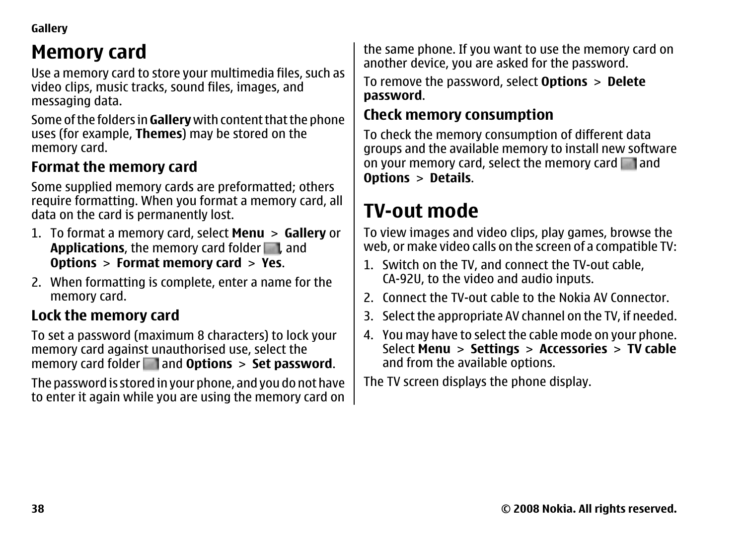<span id="page-37-0"></span>**Gallery**

### **Memory card**

Use a memory card to store your multimedia files, such as video clips, music tracks, sound files, images, and messaging data.

Some of the folders in **Gallery** with content that the phone uses (for example, **Themes**) may be stored on the memory card.

#### **Format the memory card**

Some supplied memory cards are preformatted; others require formatting. When you format a memory card, all data on the card is permanently lost.

- 1. To format a memory card, select **Menu** <sup>&</sup>gt;**Gallery** or **Applications**, the memory card folder **...** and **Options** <sup>&</sup>gt;**Format memory card** <sup>&</sup>gt;**Yes**.
- 2. When formatting is complete, enter a name for the memory card.

#### **Lock the memory card**

To set a password (maximum 8 characters) to lock your memory card against unauthorised use, select the memory card folder and **Options** <sup>&</sup>gt;**Set password**.

The password is stored in your phone, and you do not have to enter it again while you are using the memory card on

the same phone. If you want to use the memory card on another device, you are asked for the password.

To remove the password, select **Options** <sup>&</sup>gt;**Delete password**.

#### **Check memory consumption**

To check the memory consumption of different data groups and the available memory to install new software on your memory card, select the memory card  $\Box$  and **Options** <sup>&</sup>gt;**Details**.

### **TV-out mode**

To view images and video clips, play games, browse the web, or make video calls on the screen of a compatible TV:

- 1. Switch on the TV, and connect the TV-out cable, CA-92U, to the video and audio inputs.
- 2. Connect the TV-out cable to the Nokia AV Connector.
- 3. Select the appropriate AV channel on the TV, if needed.
- 4. You may have to select the cable mode on your phone. Select **Menu** <sup>&</sup>gt;**Settings** <sup>&</sup>gt;**Accessories** <sup>&</sup>gt;**TV cable** and from the available options.

The TV screen displays the phone display.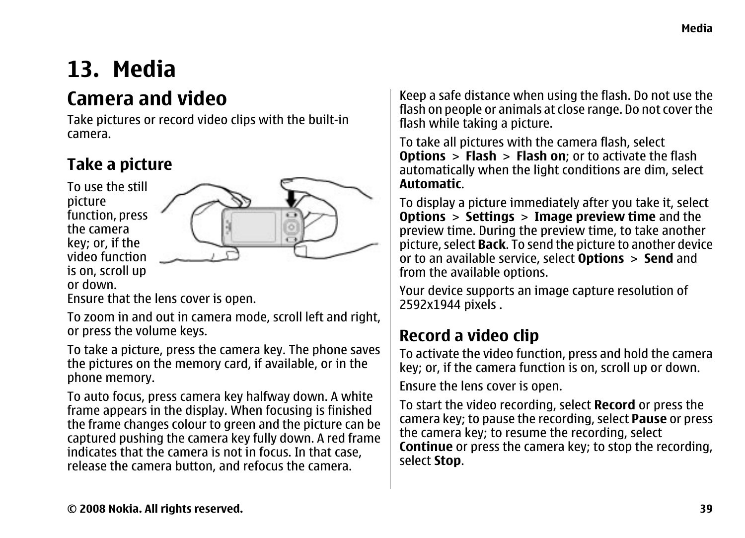### <span id="page-38-0"></span>**13. Media**

### **Camera and video**

Take pictures or record video clips with the built-in camera.

#### **Take a picture**

To use the stillpicture function, press the camerakey; or, if the video function is on, scroll up or down.



Ensure that the lens cover is open.

To zoom in and out in camera mode, scroll left and right, or press the volume keys.

To take a picture, press the camera key. The phone saves the pictures on the memory card, if available, or in the phone memory.

To auto focus, press camera key halfway down. A white frame appears in the display. When focusing is finished the frame changes colour to green and the picture can be captured pushing the camera key fully down. A red frame indicates that the camera is not in focus. In that case, release the camera button, and refocus the camera.

Keep a safe distance when using the flash. Do not use the flash on people or animals at close range. Do not cover the flash while taking a picture.

To take all pictures with the camera flash, select **Options** <sup>&</sup>gt;**Flash** <sup>&</sup>gt;**Flash on**; or to activate the flash automatically when the light conditions are dim, select **Automatic**.

To display a picture immediately after you take it, select **Options** <sup>&</sup>gt;**Settings** <sup>&</sup>gt;**Image preview time** and the preview time. During the preview time, to take another picture, select **Back**. To send the picture to another device or to an available service, select **Options** <sup>&</sup>gt;**Send** and from the available options.

Your device supports an image capture resolution of 2592x1944 pixels .

#### **Record a video clip**

To activate the video function, press and hold the camera key; or, if the camera function is on, scroll up or down.

Ensure the lens cover is open.

To start the video recording, select **Record** or press the camera key; to pause the recording, select **Pause** or press the camera key; to resume the recording, select **Continue** or press the camera key; to stop the recording, select **Stop**.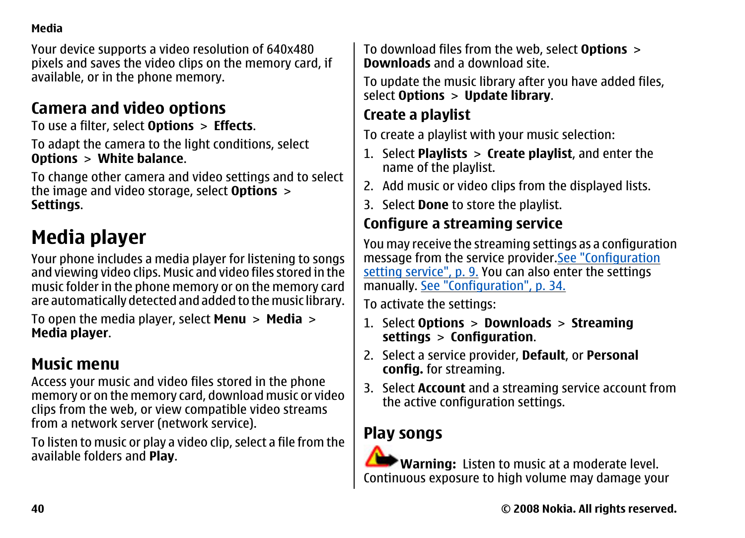#### <span id="page-39-0"></span>**Media**

Your device supports a video resolution of 640x480 pixels and saves the video clips on the memory card, if available, or in the phone memory.

#### **Camera and video options**

To use a filter, select **Options** <sup>&</sup>gt;**Effects**.

To adapt the camera to the light conditions, select **Options** <sup>&</sup>gt;**White balance**.

To change other camera and video settings and to select the image and video storage, select **Options** <sup>&</sup>gt; **Settings**.

### **Media player**

Your phone includes a media player for listening to songs and viewing video clips. Music and video files stored in the music folder in the phone memory or on the memory card are automatically detected and added to the music library.

To open the media player, select **Menu** <sup>&</sup>gt;**Media** <sup>&</sup>gt; **Media player**.

#### **Music menu**

Access your music and video files stored in the phone memory or on the memory card, download music or video clips from the web, or view compatible video streams from a network server (network service).

To listen to music or play a video clip, select a file from the available folders and **Play**.

To download files from the web, select **Options** <sup>&</sup>gt; **Downloads** and a download site.

To update the music library after you have added files, select **Options** <sup>&</sup>gt;**Update library**.

#### **Create a playlist**

To create a playlist with your music selection:

- 1. Select **Playlists** <sup>&</sup>gt;**Create playlist**, and enter the name of the playlist.
- 2. Add music or video clips from the displayed lists.
- 3. Select **Done** to store the playlist.

#### **Configure a streaming service**

You may receive the streaming settings as a configuration message from the service provider.[See "Configuration](#page-8-0) [setting service", p. 9.](#page-8-0) You can also enter the settings manually. [See "Configuration", p. 34.](#page-33-0)

To activate the settings:

- 1. Select **Options** <sup>&</sup>gt;**Downloads** <sup>&</sup>gt;**Streaming settings** <sup>&</sup>gt;**Configuration**.
- 2. Select a service provider, **Default**, or **Personal config.** for streaming.
- 3. Select **Account** and a streaming service account from the active configuration settings.

#### **Play songs**

**Warning:** Listen to music at a moderate level. Continuous exposure to high volume may damage your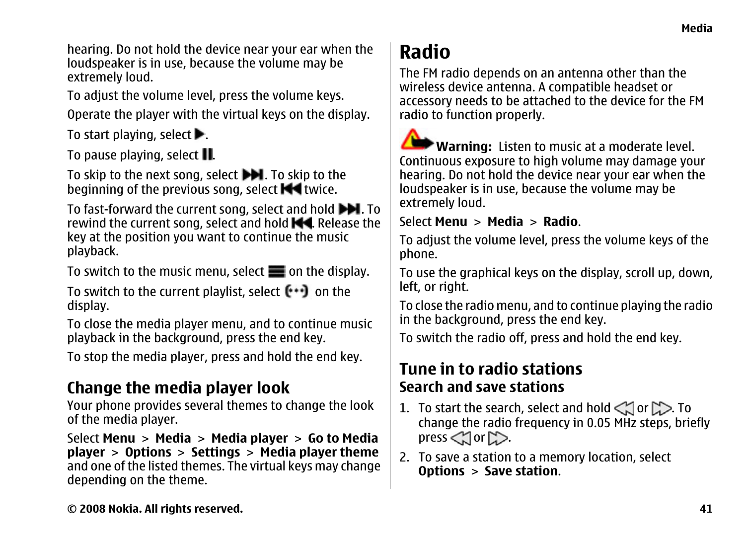<span id="page-40-0"></span>hearing. Do not hold the device near your ear when the loudspeaker is in use, because the volume may be extremely loud.

To adjust the volume level, press the volume keys. Operate the player with the virtual keys on the display.

To start playing, select  $\blacktriangleright$ .

To pause playing, select **II**.

To skip to the next song, select  $\blacktriangleright$ . To skip to the beginning of the previous song, select  $\blacksquare$  twice.

To fast-forward the current song, select and hold  $\blacktriangleright\blacksquare$ . To rewind the current song, select and hold  $\blacksquare$ . Release the key at the position you want to continue the music playback.

To switch to the music menu, select  $\blacksquare$  on the display.

To switch to the current playlist, select  $\left[\cdot,\cdot\right]$  on the display.

To close the media player menu, and to continue music playback in the background, press the end key.

To stop the media player, press and hold the end key.

#### **Change the media player look**

Your phone provides several themes to change the look of the media player.

Select **Menu** <sup>&</sup>gt;**Media** <sup>&</sup>gt;**Media player** <sup>&</sup>gt;**Go to Media player** <sup>&</sup>gt;**Options** <sup>&</sup>gt;**Settings** <sup>&</sup>gt;**Media player theme** and one of the listed themes. The virtual keys may change depending on the theme.

### **Radio**

The FM radio depends on an antenna other than the wireless device antenna. A compatible headset or accessory needs to be attached to the device for the FM radio to function properly.

**Warning:** Listen to music at a moderate level. Continuous exposure to high volume may damage your hearing. Do not hold the device near your ear when the loudspeaker is in use, because the volume may be extremely loud.

Select **Menu** <sup>&</sup>gt;**Media** <sup>&</sup>gt;**Radio**.

To adjust the volume level, press the volume keys of the phone.

To use the graphical keys on the display, scroll up, down, left, or right.

To close the radio menu, and to continue playing the radio in the background, press the end key.

To switch the radio off, press and hold the end key.

#### **Tune in to radio stationsSearch and save stations**

- 1. To start the search, select and hold  $\lt$  or  $\gt$ . To change the radio frequency in 0.05 MHz steps, briefly press  $\leq$  or  $\geq$ .
- 2. To save a station to a memory location, select **Options** <sup>&</sup>gt;**Save station**.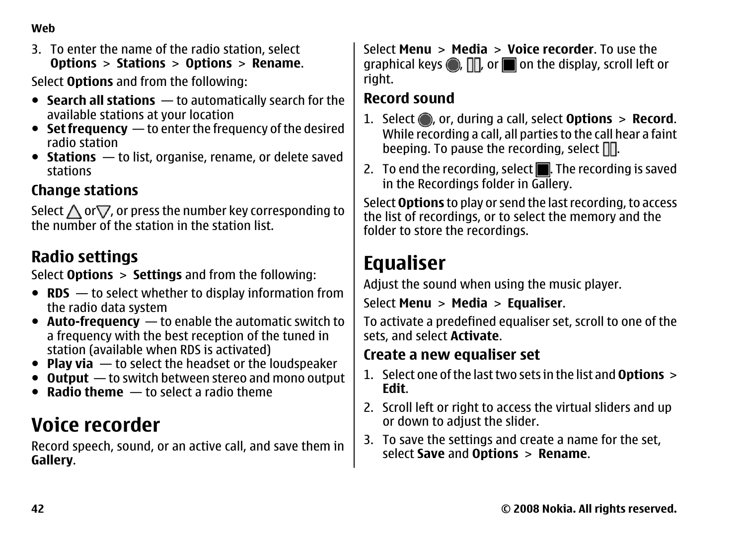#### <span id="page-41-0"></span>**Web**

3. To enter the name of the radio station, select **Options** <sup>&</sup>gt;**Stations** <sup>&</sup>gt;**Options** <sup>&</sup>gt;**Rename**.

Select **Options** and from the following:

- **Search all stations** to automatically search for the available stations at your location
- **Set frequency** to enter the frequency of the desired radio station
- **Stations** to list, organise, rename, or delete saved stations

#### **Change stations**

Select  $\bigwedge$  or $\bigtriangledown$ , or press the number key corresponding to the number of the station in the station list.

#### **Radio settings**

Select **Options** <sup>&</sup>gt;**Settings** and from the following:

- **RDS** to select whether to display information from the radio data system
- **Auto-frequency** to enable the automatic switch to a frequency with the best reception of the tuned in station (available when RDS is activated)
- **Play via** to select the headset or the loudspeaker
- **Output** to switch between stereo and mono output
- **Radio theme** to select a radio theme

### **Voice recorder**

Record speech, sound, or an active call, and save them in **Gallery**.

Select **Menu** <sup>&</sup>gt;**Media** <sup>&</sup>gt;**Voice recorder**. To use thegraphical keys  $\textcircled{\tiny{\textsf{m}}}$  ,  $\text{m}$  on the display, scroll left or right.

#### **Record sound**

- 1. Select , or, during a call, select **Options** <sup>&</sup>gt;**Record**. While recording a call, all parties to the call hear a faint beeping. To pause the recording, select  $\Box$ .
- 2. To end the recording, select  $\blacksquare$ . The recording is saved in the Recordings folder in Gallery.

Select **Options** to play or send the last recording, to access the list of recordings, or to select the memory and the folder to store the recordings.

### **Equaliser**

Adjust the sound when using the music player.

```
Select Menu >Media >Equaliser.
```
To activate a predefined equaliser set, scroll to one of the sets, and select **Activate**.

#### **Create a new equaliser set**

- 1. Select one of the last two sets in the list and **Options**<sup>&</sup>gt; **Edit**.
- 2. Scroll left or right to access the virtual sliders and up or down to adjust the slider.
- 3. To save the settings and create a name for the set, select **Save** and **Options** <sup>&</sup>gt;**Rename**.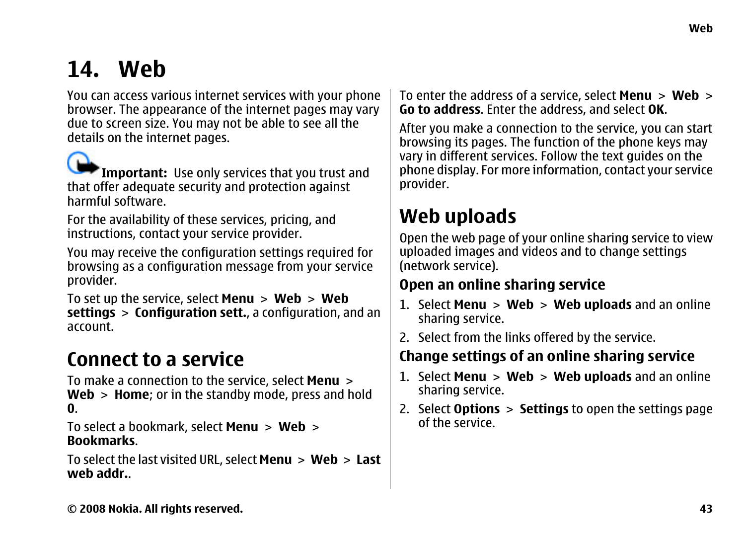## <span id="page-42-0"></span>**14. Web**

You can access various internet services with your phone browser. The appearance of the internet pages may vary due to screen size. You may not be able to see all the details on the internet pages.

**Important:** Use only services that you trust and that offer adequate security and protection against harmful software.

For the availability of these services, pricing, and instructions, contact your service provider.

You may receive the configuration settings required for browsing as a configuration message from your service provider.

To set up the service, select **Menu** <sup>&</sup>gt;**Web** <sup>&</sup>gt;**Web settings** <sup>&</sup>gt;**Configuration sett.**, a configuration, and an account.

### **Connect to a service**

To make a connection to the service, select **Menu** <sup>&</sup>gt; **Web** <sup>&</sup>gt;**Home**; or in the standby mode, press and hold **0**.

To select a bookmark, select **Menu** <sup>&</sup>gt;**Web** <sup>&</sup>gt; **Bookmarks**.

To select the last visited URL, select **Menu** > **Web** > **Last web addr.**.

To enter the address of a service, select **Menu** <sup>&</sup>gt;**Web** <sup>&</sup>gt; **Go to address**. Enter the address, and select **OK**.

After you make a connection to the service, you can start browsing its pages. The function of the phone keys may vary in different services. Follow the text guides on the phone display. For more information, contact your service provider.

### **Web uploads**

Open the web page of your online sharing service to view uploaded images and videos and to change settings (network service).

#### **Open an online sharing service**

- 1. Select **Menu** <sup>&</sup>gt;**Web** <sup>&</sup>gt;**Web uploads** and an online sharing service.
- 2. Select from the links offered by the service.

#### **Change settings of an online sharing service**

- 1. Select **Menu** <sup>&</sup>gt;**Web** <sup>&</sup>gt;**Web uploads** and an online sharing service.
- 2. Select **Options** <sup>&</sup>gt;**Settings** to open the settings page of the service.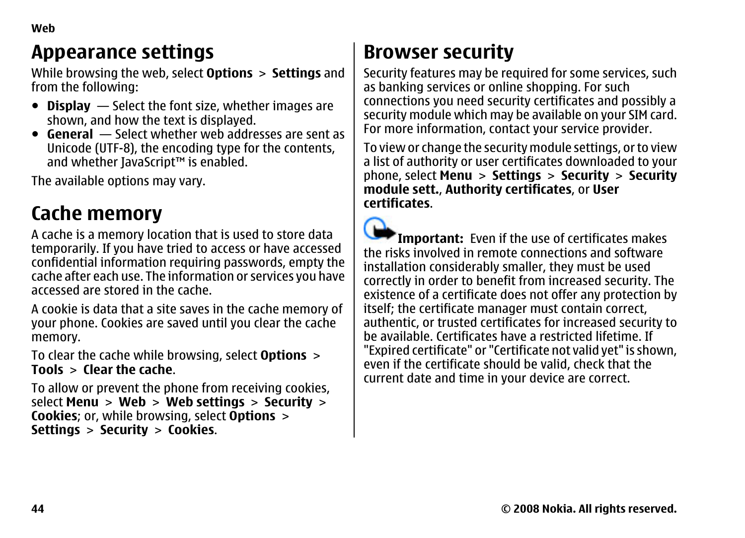### <span id="page-43-0"></span>**Appearance settings**

While browsing the web, select **Options** <sup>&</sup>gt;**Settings** and from the following:

- **Display** Select the font size, whether images are shown, and how the text is displayed.
- **General** Select whether web addresses are sent as Unicode (UTF-8), the encoding type for the contents, and whether JavaScript™ is enabled.

The available options may vary.

### **Cache memory**

A cache is a memory location that is used to store data temporarily. If you have tried to access or have accessed confidential information requiring passwords, empty the cache after each use. The information or services you have accessed are stored in the cache.

A cookie is data that a site saves in the cache memory of your phone. Cookies are saved until you clear the cache memory.

To clear the cache while browsing, select **Options** <sup>&</sup>gt; **Tools** <sup>&</sup>gt;**Clear the cache**.

To allow or prevent the phone from receiving cookies, select **Menu** <sup>&</sup>gt;**Web** <sup>&</sup>gt;**Web settings** <sup>&</sup>gt;**Security** <sup>&</sup>gt; **Cookies**; or, while browsing, select **Options** <sup>&</sup>gt; **Settings** <sup>&</sup>gt;**Security** <sup>&</sup>gt;**Cookies**.

### **Browser security**

Security features may be required for some services, such as banking services or online shopping. For such connections you need security certificates and possibly a security module which may be available on your SIM card. For more information, contact your service provider.

To view or change the security module settings, or to view a list of authority or user certificates downloaded to your phone, select **Menu** <sup>&</sup>gt;**Settings** <sup>&</sup>gt;**Security** <sup>&</sup>gt;**Security module sett.**, **Authority certificates**, or **User certificates**.

**Important:** Even if the use of certificates makes the risks involved in remote connections and softwareinstallation considerably smaller, they must be used correctly in order to benefit from increased security. The existence of a certificate does not offer any protection by itself; the certificate manager must contain correct, authentic, or trusted certificates for increased security to be available. Certificates have a restricted lifetime. If"Expired certificate" or "Certificate not valid yet" is shown, even if the certificate should be valid, check that the current date and time in your device are correct.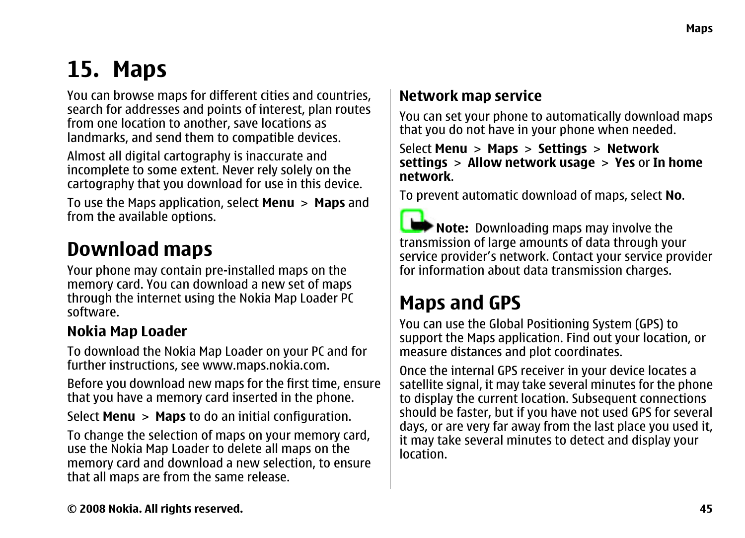### <span id="page-44-0"></span>**15. Maps**

You can browse maps for different cities and countries, search for addresses and points of interest, plan routes from one location to another, save locations as landmarks, and send them to compatible devices.

Almost all digital cartography is inaccurate and incomplete to some extent. Never rely solely on the cartography that you download for use in this device.

To use the Maps application, select **Menu** <sup>&</sup>gt;**Maps** and from the available options.

### **Download maps**

Your phone may contain pre-installed maps on the memory card. You can download a new set of maps through the internet using the Nokia Map Loader PC software.

#### **Nokia Map Loader**

To download the Nokia Map Loader on your PC and for further instructions, see [www.maps.nokia.com](http://www.maps.nokia.com).

Before you download new maps for the first time, ensure that you have a memory card inserted in the phone.

Select **Menu** <sup>&</sup>gt;**Maps** to do an initial configuration.

To change the selection of maps on your memory card, use the Nokia Map Loader to delete all maps on the memory card and download a new selection, to ensure that all maps are from the same release.

#### **Network map service**

You can set your phone to automatically download maps that you do not have in your phone when needed.

Select **Menu** <sup>&</sup>gt;**Maps** <sup>&</sup>gt;**Settings** <sup>&</sup>gt;**Network settings** <sup>&</sup>gt;**Allow network usage** <sup>&</sup>gt;**Yes** or **In home network**.

To prevent automatic download of maps, select **No**.

**Note:** Downloading maps may involve the transmission of large amounts of data through your service provider's network. Contact your service provider for information about data transmission charges.

### **Maps and GPS**

You can use the Global Positioning System (GPS) to support the Maps application. Find out your location, or measure distances and plot coordinates.

Once the internal GPS receiver in your device locates a satellite signal, it may take several minutes for the phone to display the current location. Subsequent connections should be faster, but if you have not used GPS for several days, or are very far away from the last place you used it, it may take several minutes to detect and display your location.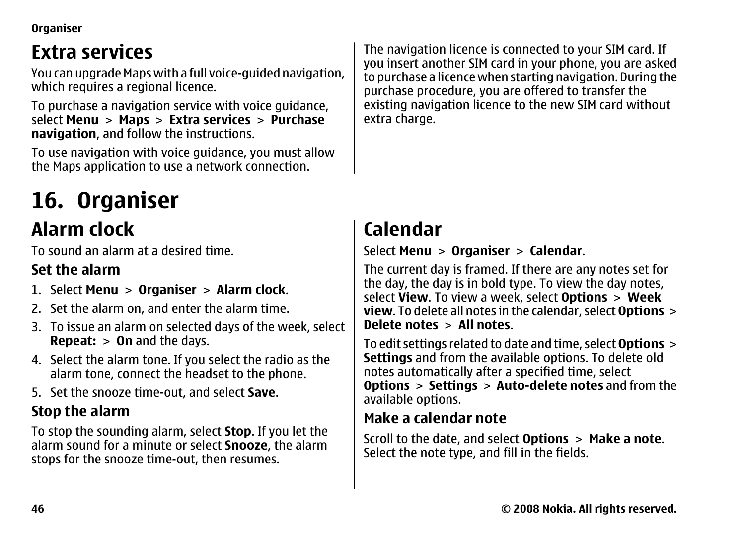<span id="page-45-0"></span>**Organiser**

### **Extra services**

You can upgrade Maps with a full voice-guided navigation, which requires a regional licence.

To purchase a navigation service with voice guidance, select **Menu** <sup>&</sup>gt;**Maps** <sup>&</sup>gt;**Extra services** <sup>&</sup>gt;**Purchase navigation**, and follow the instructions.

To use navigation with voice guidance, you must allow the Maps application to use a network connection.

# **16. Organiser**

### **Alarm clock**

To sound an alarm at a desired time.

#### **Set the alarm**

- 1. Select **Menu** <sup>&</sup>gt;**Organiser** <sup>&</sup>gt;**Alarm clock**.
- 2. Set the alarm on, and enter the alarm time.
- 3. To issue an alarm on selected days of the week, select **Repeat:** <sup>&</sup>gt;**On** and the days.
- 4. Select the alarm tone. If you select the radio as the alarm tone, connect the headset to the phone.
- 5. Set the snooze time-out, and select **Save**.

#### **Stop the alarm**

To stop the sounding alarm, select **Stop**. If you let the alarm sound for a minute or select **Snooze**, the alarm stops for the snooze time-out, then resumes.

The navigation licence is connected to your SIM card. If you insert another SIM card in your phone, you are asked to purchase a licence when starting navigation. During the purchase procedure, you are offered to transfer the existing navigation licence to the new SIM card without extra charge.

### **Calendar**

#### Select **Menu** <sup>&</sup>gt;**Organiser** <sup>&</sup>gt;**Calendar**.

The current day is framed. If there are any notes set for the day, the day is in bold type. To view the day notes, select **View**. To view a week, select **Options** <sup>&</sup>gt;**Week view**. To delete all notes in the calendar, select **Options**<sup>&</sup>gt; **Delete notes** <sup>&</sup>gt;**All notes**.

To edit settings related to date and time, select **Options**<sup>&</sup>gt; **Settings** and from the available options. To delete old notes automatically after a specified time, select **Options** <sup>&</sup>gt;**Settings** <sup>&</sup>gt;**Auto-delete notes** and from the available options.

#### **Make a calendar note**

Scroll to the date, and select **Options** <sup>&</sup>gt;**Make a note**. Select the note type, and fill in the fields.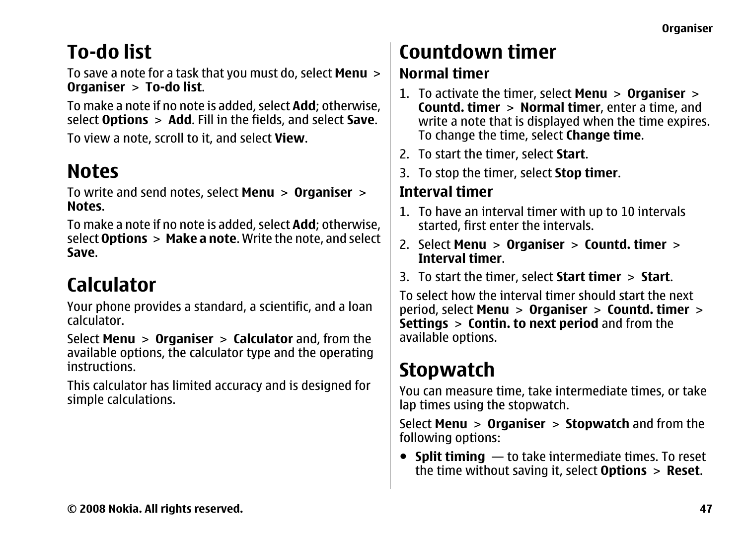### <span id="page-46-0"></span>**To-do list**

To save a note for a task that you must do, select **Menu** <sup>&</sup>gt; **Organiser** <sup>&</sup>gt;**To-do list**.

To make a note if no note is added, select **Add**; otherwise, select **Options** <sup>&</sup>gt;**Add**. Fill in the fields, and select **Save**.

To view a note, scroll to it, and select **View**.

### **Notes**

To write and send notes, select **Menu** <sup>&</sup>gt;**Organiser** <sup>&</sup>gt; **Notes**.

To make a note if no note is added, select **Add**; otherwise, select **Options** > **Make a note**. Write the note, and select **Save**.

### **Calculator**

Your phone provides a standard, a scientific, and a loan calculator.

Select **Menu** <sup>&</sup>gt;**Organiser** <sup>&</sup>gt;**Calculator** and, from the available options, the calculator type and the operating instructions.

This calculator has limited accuracy and is designed for simple calculations.

### **Countdown timer**

#### **Normal timer**

- 1. To activate the timer, select **Menu** <sup>&</sup>gt;**Organiser** <sup>&</sup>gt; **Countd. timer** <sup>&</sup>gt;**Normal timer**, enter a time, and write a note that is displayed when the time expires. To change the time, select **Change time**.
- 2. To start the timer, select **Start**.
- 3. To stop the timer, select **Stop timer**.

#### **Interval timer**

- 1. To have an interval timer with up to 10 intervals started, first enter the intervals.
- 2. Select **Menu** <sup>&</sup>gt;**Organiser** <sup>&</sup>gt;**Countd. timer** <sup>&</sup>gt; **Interval timer**.
- 3. To start the timer, select **Start timer** <sup>&</sup>gt;**Start**.

To select how the interval timer should start the next period, select **Menu** <sup>&</sup>gt;**Organiser** <sup>&</sup>gt;**Countd. timer** <sup>&</sup>gt; **Settings** <sup>&</sup>gt;**Contin. to next period** and from the available options.

## **Stopwatch**

You can measure time, take intermediate times, or take lap times using the stopwatch.

Select **Menu** <sup>&</sup>gt;**Organiser** <sup>&</sup>gt;**Stopwatch** and from the following options:

● **Split timing** — to take intermediate times. To reset the time without saving it, select **Options** <sup>&</sup>gt;**Reset**.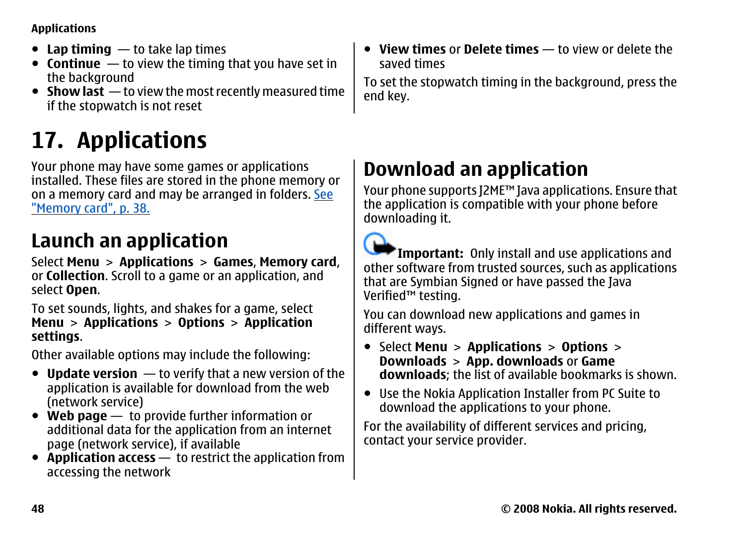#### <span id="page-47-0"></span>**Applications**

- **Lap timing** to take lap times
- **Continue** to view the timing that you have set in the background
- **Show last** to view the most recently measured time if the stopwatch is not reset

## **17. Applications**

Your phone may have some games or applications installed. These files are stored in the phone memory or on a memory card and may be arranged in folders. [See](#page-37-0) ["Memory card", p. 38.](#page-37-0)

### **Launch an application**

Select **Menu** <sup>&</sup>gt;**Applications** <sup>&</sup>gt;**Games**, **Memory card**, or **Collection**. Scroll to a game or an application, and select **Open**.

To set sounds, lights, and shakes for a game, select **Menu** <sup>&</sup>gt;**Applications** <sup>&</sup>gt;**Options** <sup>&</sup>gt;**Application settings**.

Other available options may include the following:

- **Update version** to verify that a new version of the application is available for download from the web (network service)
- **Web page** to provide further information or additional data for the application from an internet page (network service), if available
- **Application access** to restrict the application from accessing the network

● **View times** or **Delete times** — to view or delete the saved times

To set the stopwatch timing in the background, press the end key.

### **Download an application**

Your phone supports J2ME™ Java applications. Ensure that the application is compatible with your phone before downloading it.



**Important:** Only install and use applications and other software from trusted sources, such as applications that are Symbian Signed or have passed the Java Verified™ testing.

You can download new applications and games in different ways.

- Select **Menu** <sup>&</sup>gt;**Applications** <sup>&</sup>gt;**Options** <sup>&</sup>gt; **Downloads** <sup>&</sup>gt;**App. downloads** or **Game downloads**; the list of available bookmarks is shown.
- Use the Nokia Application Installer from PC Suite to download the applications to your phone.

For the availability of different services and pricing, contact your service provider.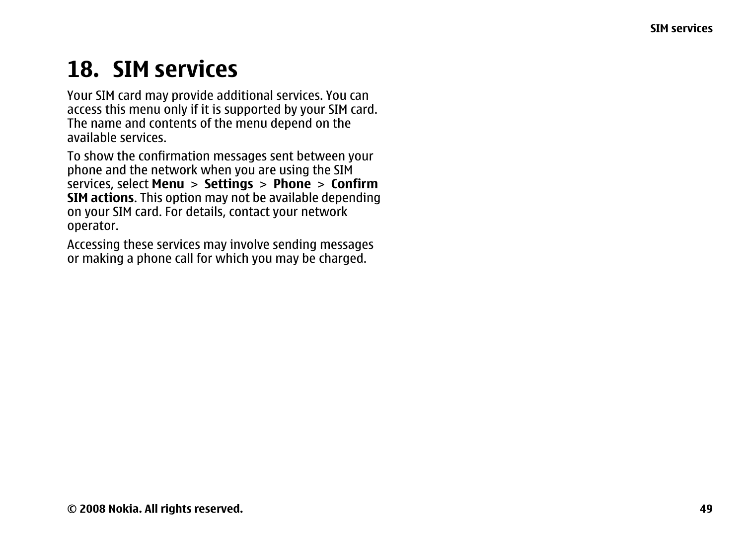## <span id="page-48-0"></span>**18. SIM services**

Your SIM card may provide additional services. You can access this menu only if it is supported by your SIM card. The name and contents of the menu depend on the available services.

To show the confirmation messages sent between your phone and the network when you are using the SIM services, select **Menu** <sup>&</sup>gt;**Settings** <sup>&</sup>gt;**Phone** <sup>&</sup>gt;**Confirm SIM actions**. This option may not be available depending on your SIM card. For details, contact your network operator.

Accessing these services may involve sending messages or making a phone call for which you may be charged.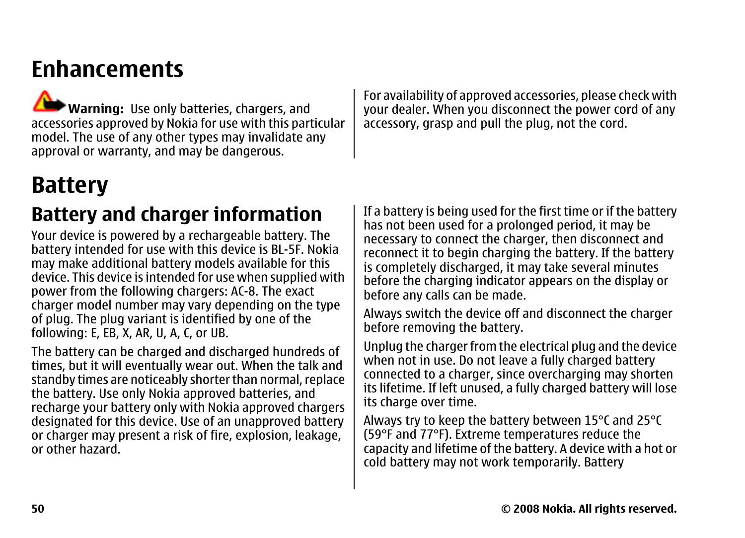### <span id="page-49-0"></span>**Enhancements**

**Warning:** Use only batteries, chargers, and accessories approved by Nokia for use with this particular model. The use of any other types may invalidate any approval or warranty, and may be dangerous.

For availability of approved accessories, please check with your dealer. When you disconnect the power cord of any accessory, grasp and pull the plug, not the cord.

## **Battery**

### **Battery and charger information**

Your device is powered by a rechargeable battery. The battery intended for use with this device is BL-5F. Nokia may make additional battery models available for this device. This device is intended for use when supplied with power from the following chargers: AC-8. The exact charger model number may vary depending on the type of plug. The plug variant is identified by one of the following: E, EB, X, AR, U, A, C, or UB.

The battery can be charged and discharged hundreds of times, but it will eventually wear out. When the talk and standby times are noticeably shorter than normal, replace the battery. Use only Nokia approved batteries, and recharge your battery only with Nokia approved chargers designated for this device. Use of an unapproved battery or charger may present a risk of fire, explosion, leakage, or other hazard.

If a battery is being used for the first time or if the battery has not been used for a prolonged period, it may be necessary to connect the charger, then disconnect and reconnect it to begin charging the battery. If the battery is completely discharged, it may take several minutes before the charging indicator appears on the display or before any calls can be made.

Always switch the device off and disconnect the charger before removing the battery.

Unplug the charger from the electrical plug and the device when not in use. Do not leave a fully charged battery connected to a charger, since overcharging may shorten its lifetime. If left unused, a fully charged battery will lose its charge over time.

Always try to keep the battery between 15°C and 25°C (59°F and 77°F). Extreme temperatures reduce the capacity and lifetime of the battery. A device with a hot or cold battery may not work temporarily. Battery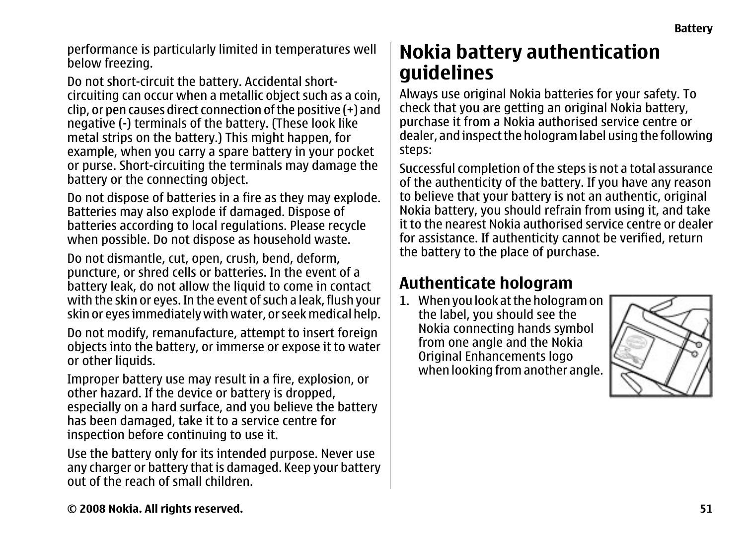<span id="page-50-0"></span>performance is particularly limited in temperatures well below freezing.

Do not short-circuit the battery. Accidental shortcircuiting can occur when a metallic object such as a coin, clip, or pen causes direct connection of the positive (+) and negative (-) terminals of the battery. (These look like metal strips on the battery.) This might happen, for example, when you carry a spare battery in your pocket or purse. Short-circuiting the terminals may damage the battery or the connecting object.

Do not dispose of batteries in a fire as they may explode. Batteries may also explode if damaged. Dispose of batteries according to local regulations. Please recycle when possible. Do not dispose as household waste.

Do not dismantle, cut, open, crush, bend, deform, puncture, or shred cells or batteries. In the event of a battery leak, do not allow the liquid to come in contact with the skin or eyes. In the event of such a leak, flush your skin or eyes immediately with water, or seek medical help.

Do not modify, remanufacture, attempt to insert foreign objects into the battery, or immerse or expose it to water or other liquids.

Improper battery use may result in a fire, explosion, or other hazard. If the device or battery is dropped, especially on a hard surface, and you believe the battery has been damaged, take it to a service centre for inspection before continuing to use it.

Use the battery only for its intended purpose. Never use any charger or battery that is damaged. Keep your battery out of the reach of small children.

### **Nokia battery authentication guidelines**

Always use original Nokia batteries for your safety. To check that you are getting an original Nokia battery, purchase it from a Nokia authorised service centre or dealer, and inspect the hologram label using the following steps:

Successful completion of the steps is not a total assurance of the authenticity of the battery. If you have any reason to believe that your battery is not an authentic, original Nokia battery, you should refrain from using it, and take it to the nearest Nokia authorised service centre or dealerfor assistance. If authenticity cannot be verified, return the battery to the place of purchase.

#### **Authenticate hologram**

1. When you look at the hologram on the label, you should see the Nokia connecting hands symbol from one angle and the Nokia Original Enhancements logo when looking from another angle.

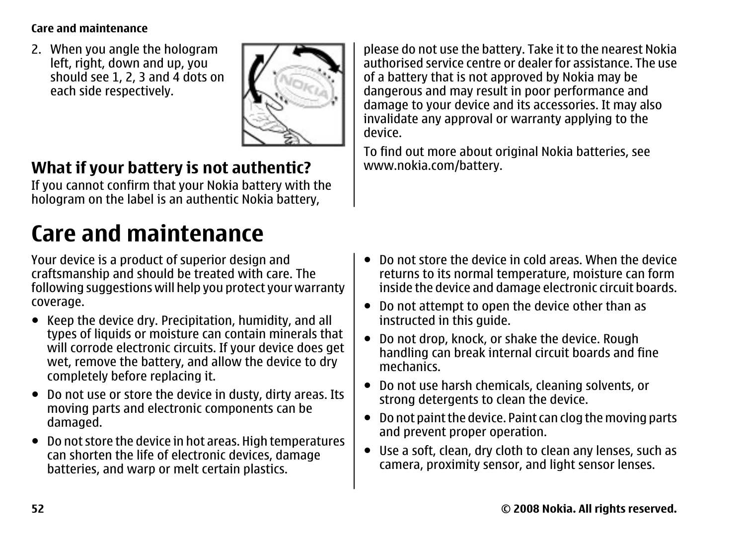#### <span id="page-51-0"></span>**Care and maintenance**

2. When you angle the hologram left, right, down and up, you should see 1, 2, 3 and 4 dots on each side respectively.



#### **What if your battery is not authentic?**

If you cannot confirm that your Nokia battery with the hologram on the label is an authentic Nokia battery,

## **Care and maintenance**

Your device is a product of superior design and craftsmanship and should be treated with care. The following suggestions will help you protect your warranty coverage.

- Keep the device dry. Precipitation, humidity, and all types of liquids or moisture can contain minerals that will corrode electronic circuits. If your device does get wet, remove the battery, and allow the device to dry completely before replacing it.
- Do not use or store the device in dusty, dirty areas. Its moving parts and electronic components can be damaged.
- Do not store the device in hot areas. High temperatures can shorten the life of electronic devices, damage batteries, and warp or melt certain plastics.

please do not use the battery. Take it to the nearest Nokia authorised service centre or dealer for assistance. The useof a battery that is not approved by Nokia may be dangerous and may result in poor performance and damage to your device and its accessories. It may also invalidate any approval or warranty applying to the device.

To find out more about original Nokia batteries, see [www.nokia.com/battery](http://www.nokia.com/battery).

- ● Do not store the device in cold areas. When the device returns to its normal temperature, moisture can form inside the device and damage electronic circuit boards.
- Do not attempt to open the device other than as instructed in this guide.
- Do not drop, knock, or shake the device. Rough handling can break internal circuit boards and fine mechanics.
- Do not use harsh chemicals, cleaning solvents, or strong detergents to clean the device.
- Do not paint the device. Paint can clog the moving parts and prevent proper operation.
- Use a soft, clean, dry cloth to clean any lenses, such as camera, proximity sensor, and light sensor lenses.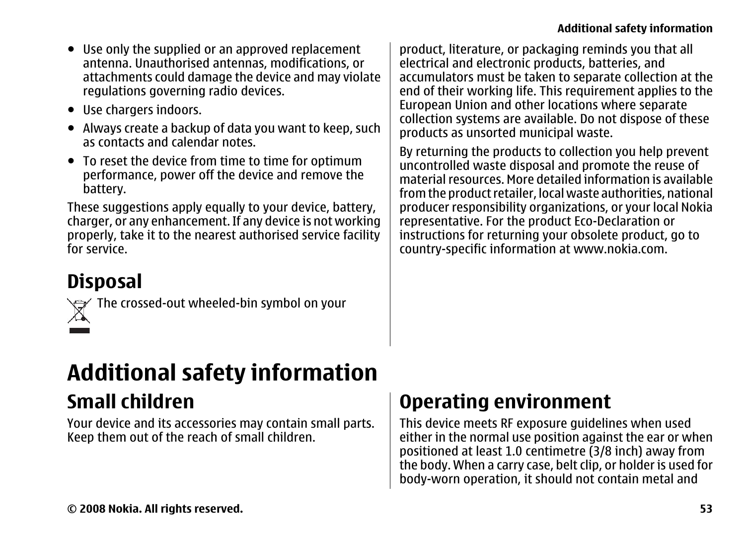- <span id="page-52-0"></span>● Use only the supplied or an approved replacement antenna. Unauthorised antennas, modifications, or attachments could damage the device and may violate regulations governing radio devices.
- Use chargers indoors.
- Always create a backup of data you want to keep, such as contacts and calendar notes.
- To reset the device from time to time for optimum performance, power off the device and remove the battery.

These suggestions apply equally to your device, battery, charger, or any enhancement. If any device is not working properly, take it to the nearest authorised service facility for service.

**Disposal**



The crossed-out wheeled-bin symbol on your

product, literature, or packaging reminds you that all electrical and electronic products, batteries, and accumulators must be taken to separate collection at the end of their working life. This requirement applies to the European Union and other locations where separate collection systems are available. Do not dispose of these products as unsorted municipal waste.

By returning the products to collection you help prevent uncontrolled waste disposal and promote the reuse of material resources. More detailed information is available from the product retailer, local waste authorities, national producer responsibility organizations, or your local Nokia representative. For the product Eco-Declaration or instructions for returning your obsolete product, go to country-specific information at [www.nokia.com](http://www.nokia.com).

## **Additional safety information**

### **Small children**

Your device and its accessories may contain small parts. Keep them out of the reach of small children.

### **Operating environment**

This device meets RF exposure guidelines when used either in the normal use position against the ear or when positioned at least 1.0 centimetre (3/8 inch) away from the body. When a carry case, belt clip, or holder is used for body-worn operation, it should not contain metal and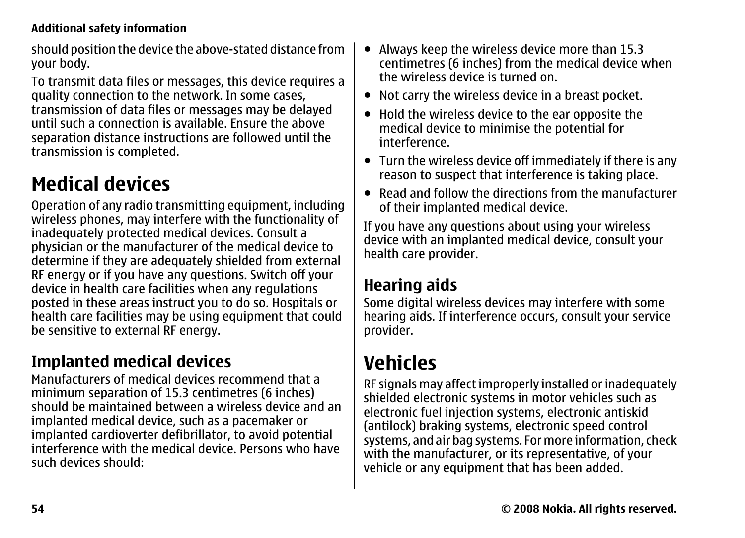#### <span id="page-53-0"></span>**Additional safety information**

should position the device the above-stated distance from your body.

To transmit data files or messages, this device requires a quality connection to the network. In some cases, transmission of data files or messages may be delayed until such a connection is available. Ensure the above separation distance instructions are followed until the transmission is completed.

### **Medical devices**

Operation of any radio transmitting equipment, including wireless phones, may interfere with the functionality of inadequately protected medical devices. Consult a physician or the manufacturer of the medical device to determine if they are adequately shielded from external RF energy or if you have any questions. Switch off your device in health care facilities when any regulations posted in these areas instruct you to do so. Hospitals or health care facilities may be using equipment that could be sensitive to external RF energy.

### **Implanted medical devices**

Manufacturers of medical devices recommend that aminimum separation of 15.3 centimetres (6 inches) should be maintained between a wireless device and animplanted medical device, such as a pacemaker or implanted cardioverter defibrillator, to avoid potential interference with the medical device. Persons who havesuch devices should:

- Always keep the wireless device more than 15.3 centimetres (6 inches) from the medical device when the wireless device is turned on.
- Not carry the wireless device in a breast pocket.
- $\bullet$  Hold the wireless device to the ear opposite the medical device to minimise the potential for interference.
- Turn the wireless device off immediately if there is any reason to suspect that interference is taking place.
- Read and follow the directions from the manufacturer of their implanted medical device.

If you have any questions about using your wireless device with an implanted medical device, consult your health care provider.

#### **Hearing aids**

Some digital wireless devices may interfere with some hearing aids. If interference occurs, consult your service provider.

### **Vehicles**

RF signals may affect improperly installed or inadequately shielded electronic systems in motor vehicles such as electronic fuel injection systems, electronic antiskid (antilock) braking systems, electronic speed control systems, and air bag systems. For more information, check with the manufacturer, or its representative, of your vehicle or any equipment that has been added.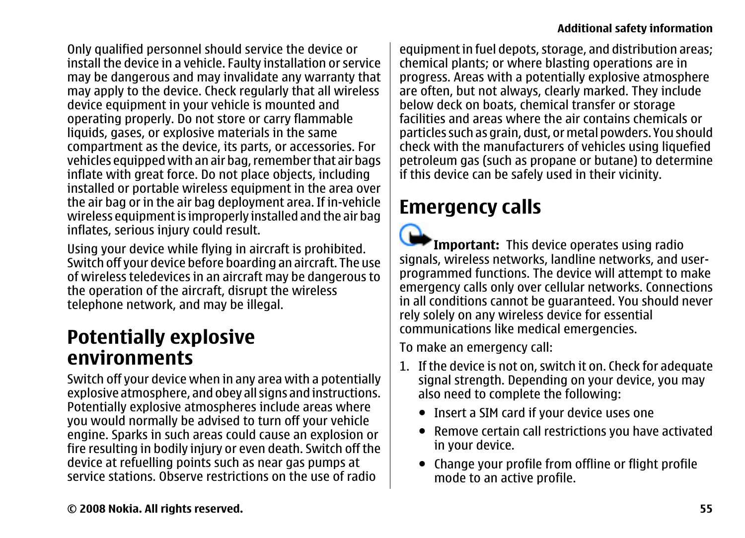<span id="page-54-0"></span>Only qualified personnel should service the device or install the device in a vehicle. Faulty installation or service may be dangerous and may invalidate any warranty that may apply to the device. Check regularly that all wireless device equipment in your vehicle is mounted and operating properly. Do not store or carry flammable liquids, gases, or explosive materials in the same compartment as the device, its parts, or accessories. For vehicles equipped with an air bag, remember that air bags inflate with great force. Do not place objects, including installed or portable wireless equipment in the area over the air bag or in the air bag deployment area. If in-vehicle wireless equipment is improperly installed and the air bag inflates, serious injury could result.

Using your device while flying in aircraft is prohibited. Switch off your device before boarding an aircraft. The use of wireless teledevices in an aircraft may be dangerous to the operation of the aircraft, disrupt the wireless telephone network, and may be illegal.

#### **Potentially explosive environments**

Switch off your device when in any area with a potentially explosive atmosphere, and obey all signs and instructions. Potentially explosive atmospheres include areas where you would normally be advised to turn off your vehicle engine. Sparks in such areas could cause an explosion or fire resulting in bodily injury or even death. Switch off the device at refuelling points such as near gas pumps at service stations. Observe restrictions on the use of radio

equipment in fuel depots, storage, and distribution areas; chemical plants; or where blasting operations are in progress. Areas with a potentially explosive atmosphere are often, but not always, clearly marked. They include below deck on boats, chemical transfer or storage facilities and areas where the air contains chemicals orparticles such as grain, dust, or metal powders. You should check with the manufacturers of vehicles using liquefied petroleum gas (such as propane or butane) to determine if this device can be safely used in their vicinity.

### **Emergency calls**

 $\Omega$ 

**Important:** This device operates using radio signals, wireless networks, landline networks, and userprogrammed functions. The device will attempt to make emergency calls only over cellular networks. Connections in all conditions cannot be guaranteed. You should never rely solely on any wireless device for essential communications like medical emergencies.

To make an emergency call:

- 1. If the device is not on, switch it on. Check for adequate signal strength. Depending on your device, you may also need to complete the following:
	- Insert a SIM card if your device uses one
	- Remove certain call restrictions you have activated in your device.
	- Change your profile from offline or flight profile mode to an active profile.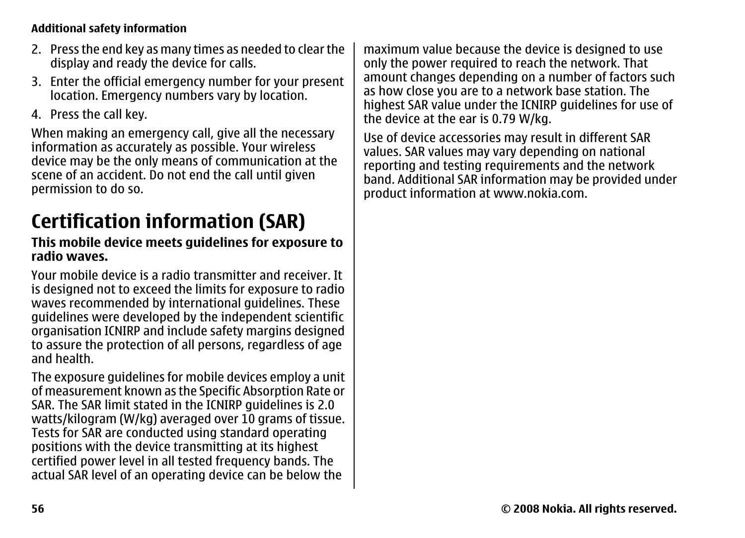#### <span id="page-55-0"></span>**Additional safety information**

- 2. Press the end key as many times as needed to clear the display and ready the device for calls.
- 3. Enter the official emergency number for your present location. Emergency numbers vary by location.
- 4. Press the call key.

When making an emergency call, give all the necessary information as accurately as possible. Your wireless device may be the only means of communication at the scene of an accident. Do not end the call until given permission to do so.

### **Certification information (SAR)**

#### **This mobile device meets guidelines for exposure to radio waves.**

Your mobile device is a radio transmitter and receiver. Itis designed not to exceed the limits for exposure to radio waves recommended by international guidelines. These guidelines were developed by the independent scientific organisation ICNIRP and include safety margins designed to assure the protection of all persons, regardless of age and health.

The exposure guidelines for mobile devices employ a unit of measurement known as the Specific Absorption Rate or SAR. The SAR limit stated in the ICNIRP guidelines is 2.0 watts/kilogram (W/kg) averaged over 10 grams of tissue. Tests for SAR are conducted using standard operating positions with the device transmitting at its highest certified power level in all tested frequency bands. The actual SAR level of an operating device can be below the

maximum value because the device is designed to use only the power required to reach the network. That amount changes depending on a number of factors such as how close you are to a network base station. The highest SAR value under the ICNIRP guidelines for use of the device at the ear is 0.79 W/kg.

Use of device accessories may result in different SAR values. SAR values may vary depending on national reporting and testing requirements and the network band. Additional SAR information may be provided under product information at [www.nokia.com](http://www.nokia.com).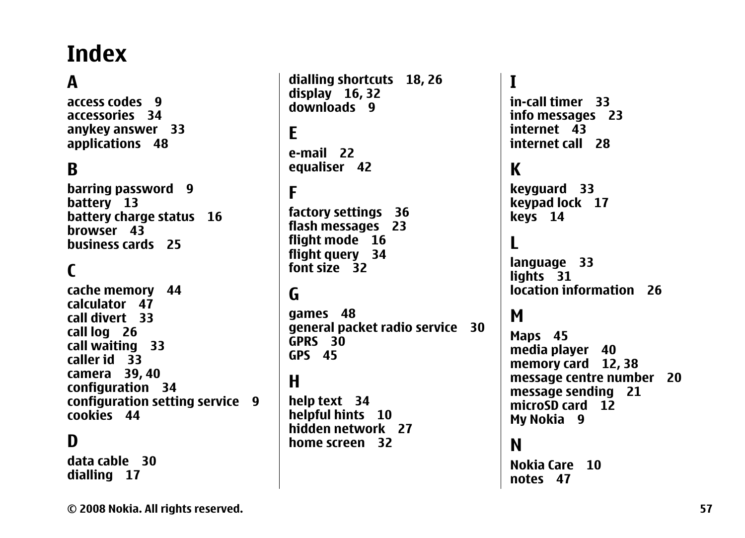## <span id="page-56-0"></span>**Index**

### **A**

**access codes [9](#page-8-0)accessories [34](#page-33-0)anykey answer [33](#page-32-0) applications [48](#page-47-0)**

#### **B**

**barring password [9](#page-8-0) battery [13](#page-12-0) battery charge status [16](#page-15-0) browser [43](#page-42-0)business cards [25](#page-24-0)**

#### **C**

**cache memory [44](#page-43-0) calculator [47](#page-46-0)call divert [33](#page-32-0)call log [26](#page-25-0) call waiting [33](#page-32-0) caller id [33](#page-32-0) camera [39](#page-38-0), [40](#page-39-0) configuration [34](#page-33-0) configuration setting service [9](#page-8-0) cookies [44](#page-43-0)**

#### **D**

**data cable [30](#page-29-0)dialling [17](#page-16-0)**

**dialling shortcuts [18](#page-17-0), [26](#page-25-0) display [16](#page-15-0), [32](#page-31-0) downloads [9](#page-8-0)Ee-mail [22](#page-21-0)equaliser [42](#page-41-0) Ffactory settings [36](#page-35-0) flash messages [23](#page-22-0) flight mode [16](#page-15-0) flight query [34](#page-33-0) font size [32](#page-31-0)G**

**games [48](#page-47-0) general packet radio service [30](#page-29-0) GPRS [30](#page-29-0)GPS [45](#page-44-0)**

#### **H**

**help text [34](#page-33-0) helpful hints [10](#page-9-0) hidden network [27](#page-26-0)home screen [32](#page-31-0)**

**Iin-call timer [33](#page-32-0)info messages [23](#page-22-0) internet [43](#page-42-0) internet call [28](#page-27-0)Kkeyguard [33](#page-32-0) keypad lock [17](#page-16-0) keys [14](#page-13-0) Llanguage [33](#page-32-0) lights [31](#page-30-0) location information [26](#page-25-0)MMaps [45](#page-44-0) media player [40](#page-39-0) memory card [12](#page-11-0), [38](#page-37-0) message centre number [20](#page-19-0) message sending [21](#page-20-0) microSD card [12](#page-11-0)My Nokia [9](#page-8-0) N**

**Nokia Care [10](#page-9-0)notes [47](#page-46-0)**